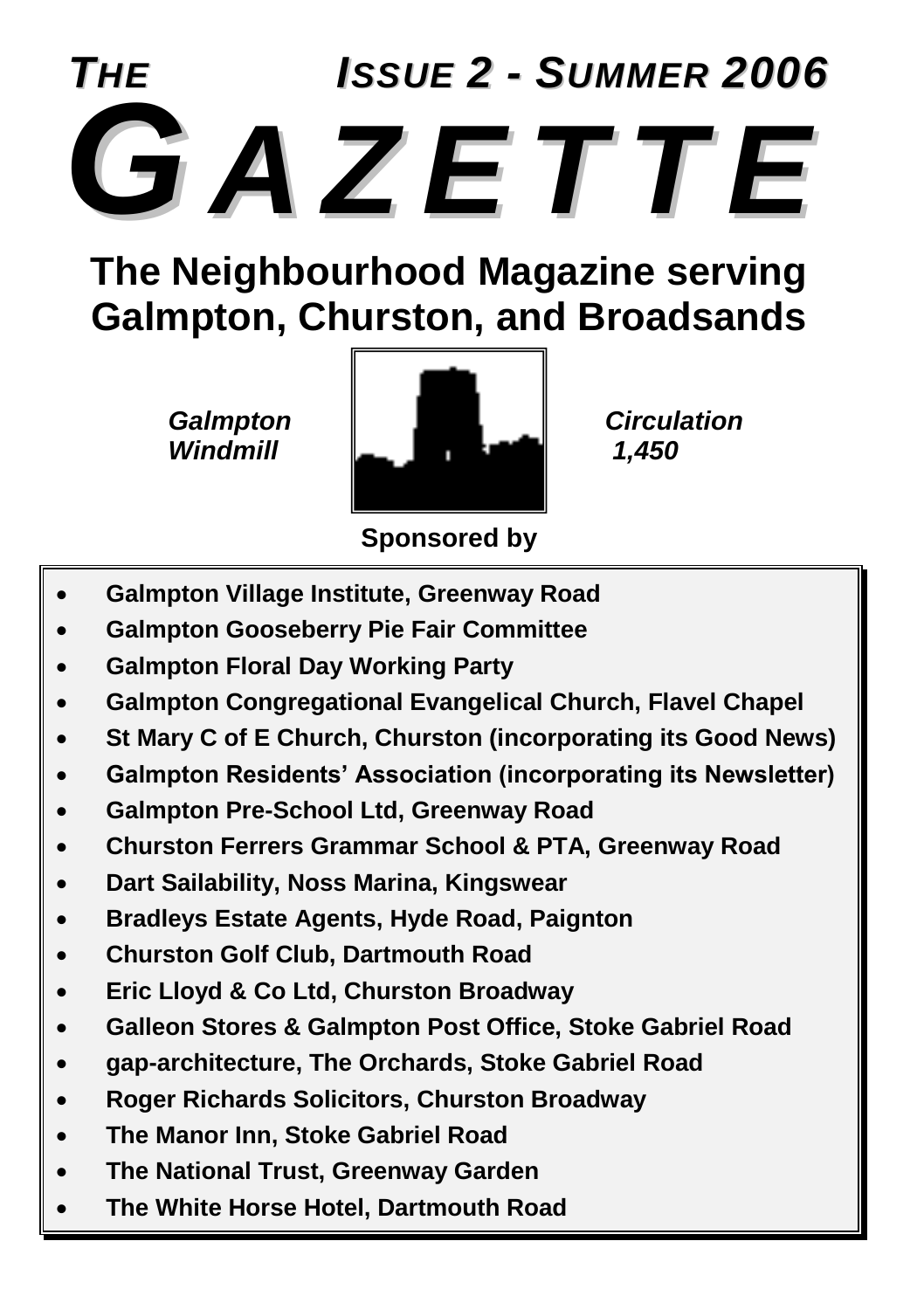

### **The Neighbourhood Magazine serving Galmpton, Churston, and Broadsands**



**Sponsored by**

- **Galmpton Village Institute, Greenway Road**
- **Galmpton Gooseberry Pie Fair Committee**
- **Galmpton Floral Day Working Party**
- **Galmpton Congregational Evangelical Church, Flavel Chapel**
- **St Mary C of E Church, Churston (incorporating its Good News)**
- **Galmpton Residents' Association (incorporating its Newsletter)**
- **Galmpton Pre-School Ltd, Greenway Road**
- **Churston Ferrers Grammar School & PTA, Greenway Road**
- **Dart Sailability, Noss Marina, Kingswear**
- **Bradleys Estate Agents, Hyde Road, Paignton**
- **Churston Golf Club, Dartmouth Road**
- **Eric Lloyd & Co Ltd, Churston Broadway**
- **Galleon Stores & Galmpton Post Office, Stoke Gabriel Road**
- **gap-architecture, The Orchards, Stoke Gabriel Road**
- **Roger Richards Solicitors, Churston Broadway**
- **The Manor Inn, Stoke Gabriel Road**
- **The National Trust, Greenway Garden**
- **The White Horse Hotel, Dartmouth Road**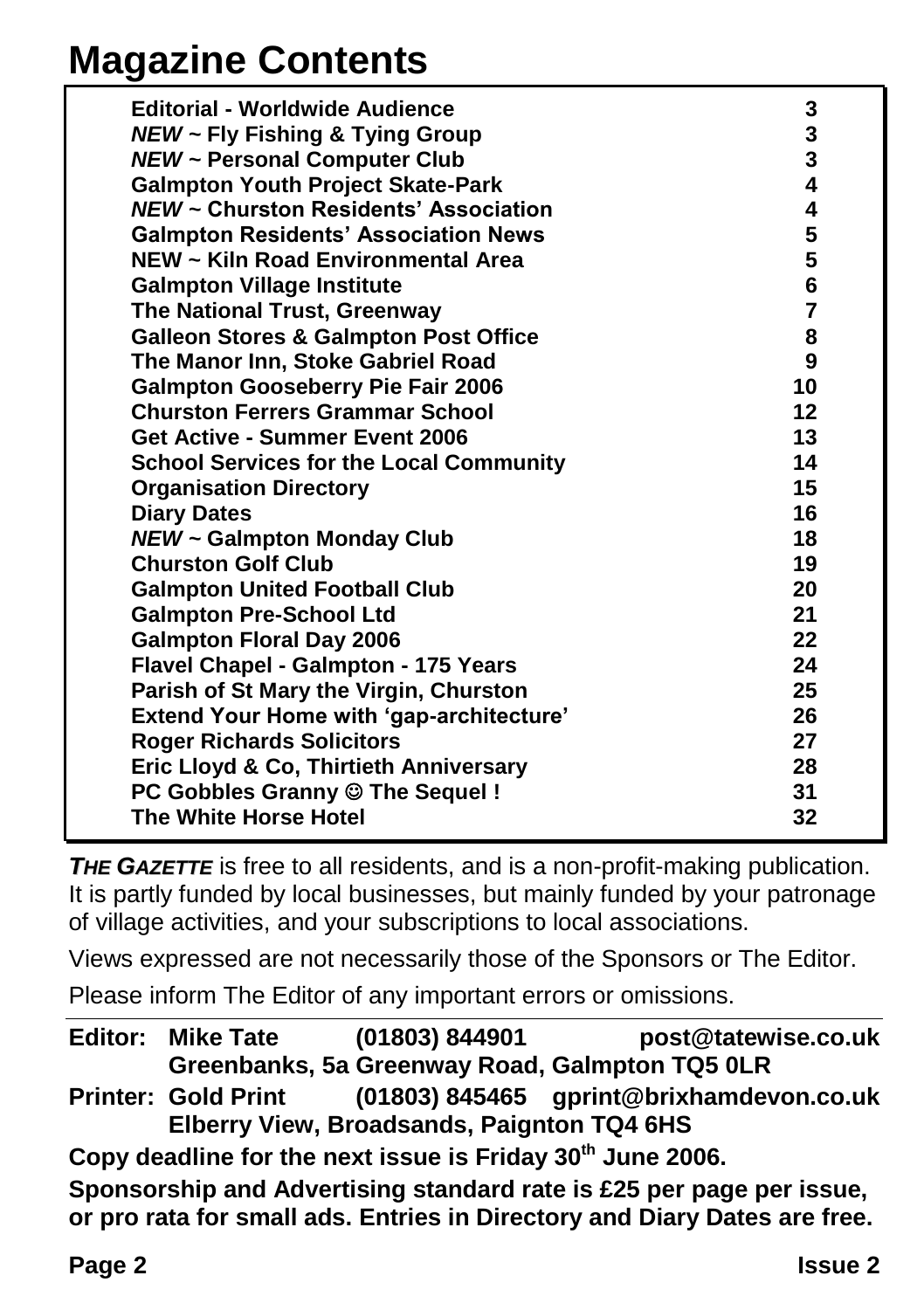### **Magazine Contents**

| <b>Editorial - Worldwide Audience</b>            | 3              |
|--------------------------------------------------|----------------|
| <b>NEW ~ Fly Fishing &amp; Tying Group</b>       | 3              |
| <b>NEW ~ Personal Computer Club</b>              | 3              |
| <b>Galmpton Youth Project Skate-Park</b>         | 4              |
| NEW ~ Churston Residents' Association            | 4              |
| <b>Galmpton Residents' Association News</b>      | 5              |
| NEW ~ Kiln Road Environmental Area               | 5              |
| <b>Galmpton Village Institute</b>                | 6              |
| The National Trust, Greenway                     | $\overline{7}$ |
| <b>Galleon Stores &amp; Galmpton Post Office</b> | 8              |
| The Manor Inn, Stoke Gabriel Road                | 9              |
| <b>Galmpton Gooseberry Pie Fair 2006</b>         | 10             |
| <b>Churston Ferrers Grammar School</b>           | 12             |
| Get Active - Summer Event 2006                   | 13             |
| <b>School Services for the Local Community</b>   | 14             |
| <b>Organisation Directory</b>                    | 15             |
| <b>Diary Dates</b>                               | 16             |
| <b>NEW ~ Galmpton Monday Club</b>                | 18             |
| <b>Churston Golf Club</b>                        | 19             |
| <b>Galmpton United Football Club</b>             | 20             |
| <b>Galmpton Pre-School Ltd</b>                   | 21             |
| <b>Galmpton Floral Day 2006</b>                  | 22             |
| Flavel Chapel - Galmpton - 175 Years             | 24             |
| Parish of St Mary the Virgin, Churston           | 25             |
| <b>Extend Your Home with 'gap-architecture'</b>  | 26             |
| <b>Roger Richards Solicitors</b>                 | 27             |
| Eric Lloyd & Co, Thirtieth Anniversary           | 28             |
| PC Gobbles Granny @ The Sequel!                  | 31             |
| The White Horse Hotel                            | 32             |

**THE GAZETTE** is free to all residents, and is a non-profit-making publication. It is partly funded by local businesses, but mainly funded by your patronage of village activities, and your subscriptions to local associations.

Views expressed are not necessarily those of the Sponsors or The Editor.

Please inform The Editor of any important errors or omissions.

|                                                                                                                                                   | <b>Editor: Mike Tate</b>   | (01803) 844901                                                         | post@tatewise.co.uk                            |
|---------------------------------------------------------------------------------------------------------------------------------------------------|----------------------------|------------------------------------------------------------------------|------------------------------------------------|
|                                                                                                                                                   |                            |                                                                        | Greenbanks, 5a Greenway Road, Galmpton TQ5 0LR |
|                                                                                                                                                   | <b>Printer: Gold Print</b> |                                                                        | (01803) 845465 gprint@brixhamdevon.co.uk       |
|                                                                                                                                                   |                            | Elberry View, Broadsands, Paignton TQ4 6HS                             |                                                |
|                                                                                                                                                   |                            | Copy deadline for the next issue is Friday 30 <sup>th</sup> June 2006. |                                                |
| Sponsorship and Advertising standard rate is £25 per page per issue,<br>or pro rata for small ads. Entries in Directory and Diary Dates are free. |                            |                                                                        |                                                |
|                                                                                                                                                   |                            |                                                                        |                                                |
|                                                                                                                                                   |                            |                                                                        |                                                |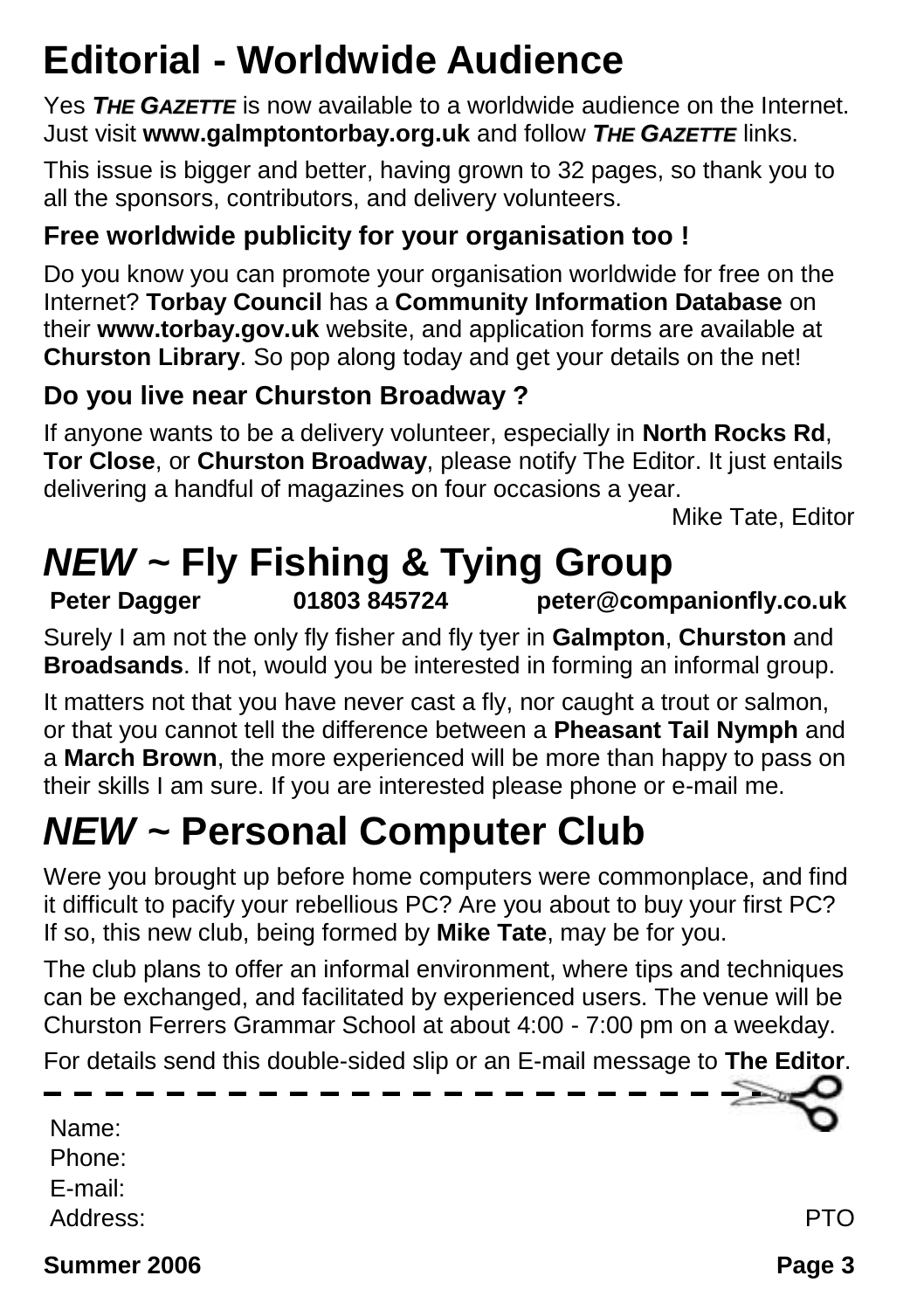## **Editorial - Worldwide Audience**

Yes *THE GAZETTE* is now available to a worldwide audience on the Internet. Just visit **www.galmptontorbay.org.uk** and follow *THE GAZETTE* links.

This issue is bigger and better, having grown to 32 pages, so thank you to all the sponsors, contributors, and delivery volunteers.

### **Free worldwide publicity for your organisation too !**

Do you know you can promote your organisation worldwide for free on the Internet? **Torbay Council** has a **Community Information Database** on their **www.torbay.gov.uk** website, and application forms are available at **Churston Library**. So pop along today and get your details on the net!

#### **Do you live near Churston Broadway ?**

If anyone wants to be a delivery volunteer, especially in **North Rocks Rd**, **Tor Close**, or **Churston Broadway**, please notify The Editor. It just entails delivering a handful of magazines on four occasions a year.

Mike Tate, Editor

### *NEW ~* **Fly Fishing & Tying Group**

**Peter Dagger 01803 845724 peter@companionfly.co.uk**

Surely I am not the only fly fisher and fly tyer in **Galmpton**, **Churston** and **Broadsands**. If not, would you be interested in forming an informal group.

It matters not that you have never cast a fly, nor caught a trout or salmon, or that you cannot tell the difference between a **Pheasant Tail Nymph** and a **March Brown**, the more experienced will be more than happy to pass on their skills I am sure. If you are interested please phone or e-mail me.

## *NEW ~* **Personal Computer Club**

Were you brought up before home computers were commonplace, and find it difficult to pacify your rebellious PC? Are you about to buy your first PC? If so, this new club, being formed by **Mike Tate**, may be for you.

The club plans to offer an informal environment, where tips and techniques can be exchanged, and facilitated by experienced users. The venue will be Churston Ferrers Grammar School at about 4:00 - 7:00 pm on a weekday.

For details send this double-sided slip or an E-mail message to **The Editor**.

| Name:    |    |
|----------|----|
| Phone:   |    |
| E-mail:  |    |
| Address: | ГΟ |
|          |    |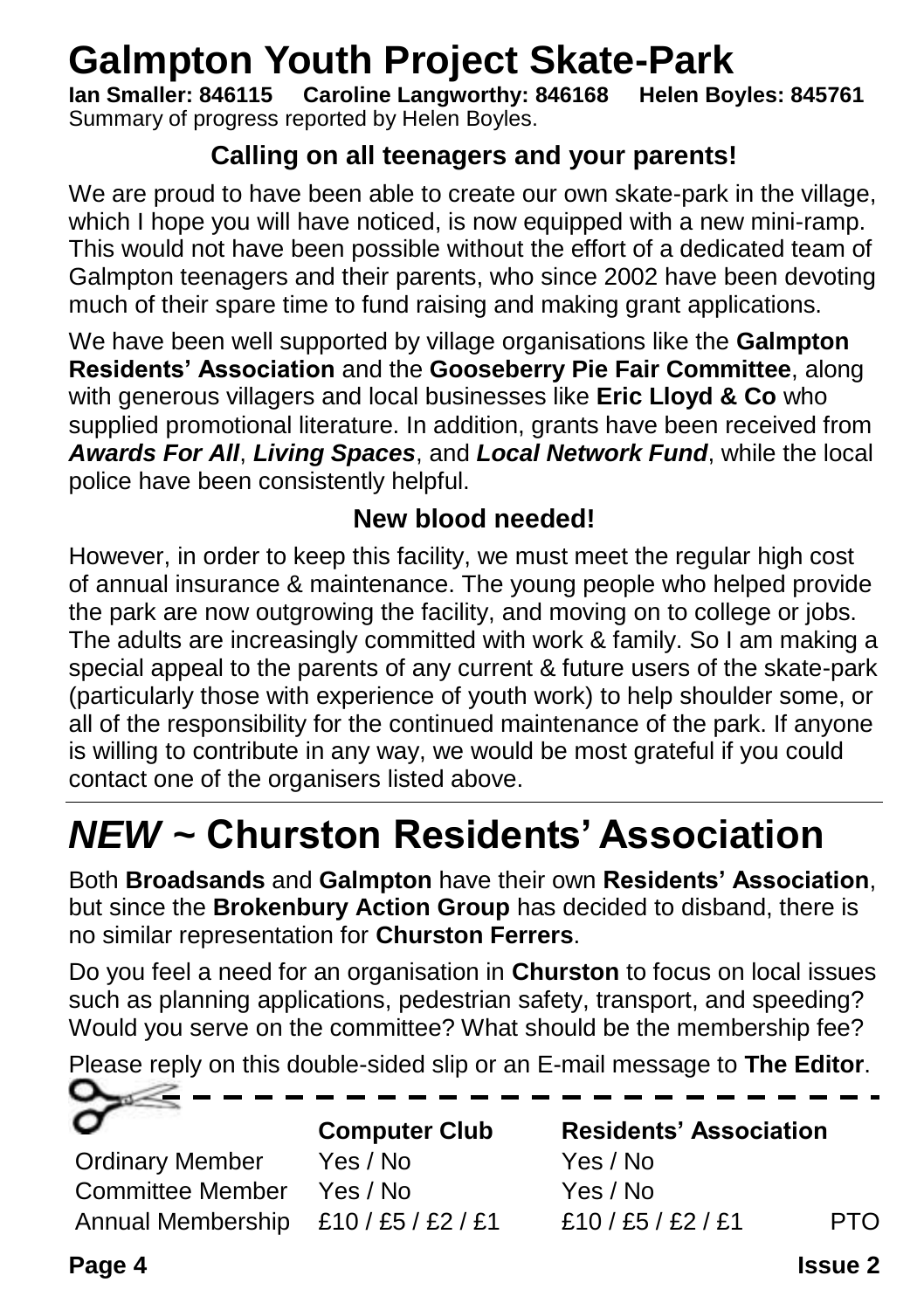# Galmpton Youth Project Skate-Park<br>lan Smaller: 846115 Caroline Langworthy: 846168 Helen Boyles: 845761

**Ian Smaller: 846115 Caroline Langworthy: 846168** Summary of progress reported by Helen Boyles.

#### **Calling on all teenagers and your parents!**

We are proud to have been able to create our own skate-park in the village, which I hope you will have noticed, is now equipped with a new mini-ramp. This would not have been possible without the effort of a dedicated team of Galmpton teenagers and their parents, who since 2002 have been devoting much of their spare time to fund raising and making grant applications.

We have been well supported by village organisations like the **Galmpton Residents' Association** and the **Gooseberry Pie Fair Committee**, along with generous villagers and local businesses like **Eric Lloyd & Co** who supplied promotional literature. In addition, grants have been received from *Awards For All*, *Living Spaces*, and *Local Network Fund*, while the local police have been consistently helpful.

#### **New blood needed!**

However, in order to keep this facility, we must meet the regular high cost of annual insurance & maintenance. The young people who helped provide the park are now outgrowing the facility, and moving on to college or jobs. The adults are increasingly committed with work & family. So I am making a special appeal to the parents of any current & future users of the skate-park (particularly those with experience of youth work) to help shoulder some, or all of the responsibility for the continued maintenance of the park. If anyone is willing to contribute in any way, we would be most grateful if you could contact one of the organisers listed above.

## *NEW ~* **Churston Residents' Association**

Both **Broadsands** and **Galmpton** have their own **Residents' Association**, but since the **Brokenbury Action Group** has decided to disband, there is no similar representation for **Churston Ferrers**.

Do you feel a need for an organisation in **Churston** to focus on local issues such as planning applications, pedestrian safety, transport, and speeding? Would you serve on the committee? What should be the membership fee?

Please reply on this double-sided slip or an E-mail message to **The Editor**.

| o<br>____________         |                      |                               |  |
|---------------------------|----------------------|-------------------------------|--|
| $\vec{\sigma}$            | <b>Computer Club</b> | <b>Residents' Association</b> |  |
| <b>Ordinary Member</b>    | Yes / No             | Yes / No                      |  |
| Committee Member Yes / No |                      | Yes / No                      |  |

Annual Membership  $£10 / £5 / £2 / £1$  £10 /£5 / £2 /£1 PTO

**Page 4 Issue 2**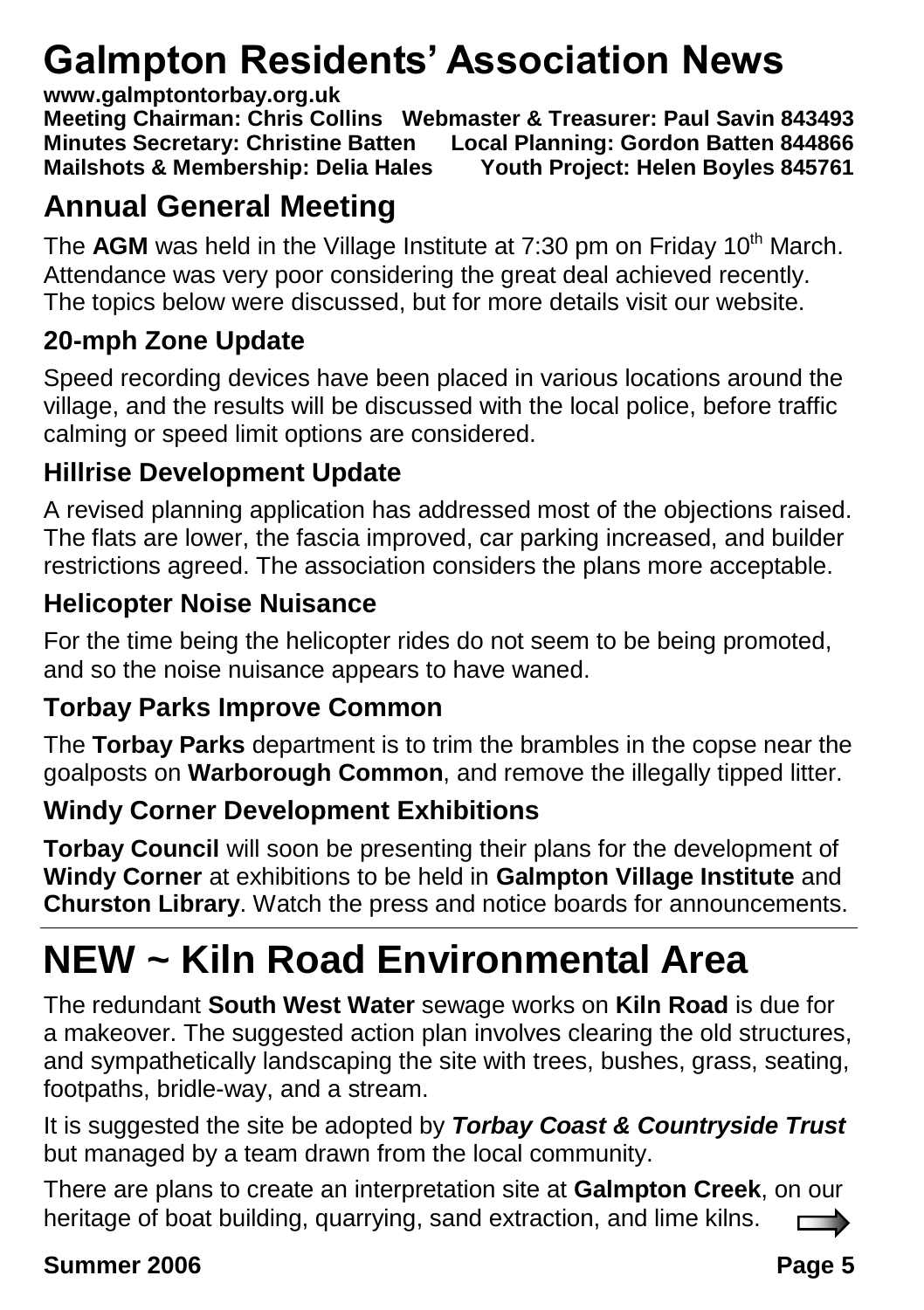## **Galmpton Residents' Association News**

#### **www.galmptontorbay.org.uk**

**Meeting Chairman: Chris Collins Webmaster & Treasurer: Paul Savin 843493 Minutes Secretary: Christine Batten Local Planning: Gordon Batten 844866 Mailshots & Membership: Delia Hales** 

### **Annual General Meeting**

The AGM was held in the Village Institute at 7:30 pm on Friday 10<sup>th</sup> March. Attendance was very poor considering the great deal achieved recently. The topics below were discussed, but for more details visit our website.

### **20-mph Zone Update**

Speed recording devices have been placed in various locations around the village, and the results will be discussed with the local police, before traffic calming or speed limit options are considered.

### **Hillrise Development Update**

A revised planning application has addressed most of the objections raised. The flats are lower, the fascia improved, car parking increased, and builder restrictions agreed. The association considers the plans more acceptable.

### **Helicopter Noise Nuisance**

For the time being the helicopter rides do not seem to be being promoted, and so the noise nuisance appears to have waned.

### **Torbay Parks Improve Common**

The **Torbay Parks** department is to trim the brambles in the copse near the goalposts on **Warborough Common**, and remove the illegally tipped litter.

### **Windy Corner Development Exhibitions**

**Torbay Council** will soon be presenting their plans for the development of **Windy Corner** at exhibitions to be held in **Galmpton Village Institute** and **Churston Library**. Watch the press and notice boards for announcements.

## **NEW ~ Kiln Road Environmental Area**

The redundant **South West Water** sewage works on **Kiln Road** is due for a makeover. The suggested action plan involves clearing the old structures, and sympathetically landscaping the site with trees, bushes, grass, seating, footpaths, bridle-way, and a stream.

It is suggested the site be adopted by *Torbay Coast & Countryside Trust* but managed by a team drawn from the local community.

There are plans to create an interpretation site at **Galmpton Creek**, on our heritage of boat building, quarrying, sand extraction, and lime kilns.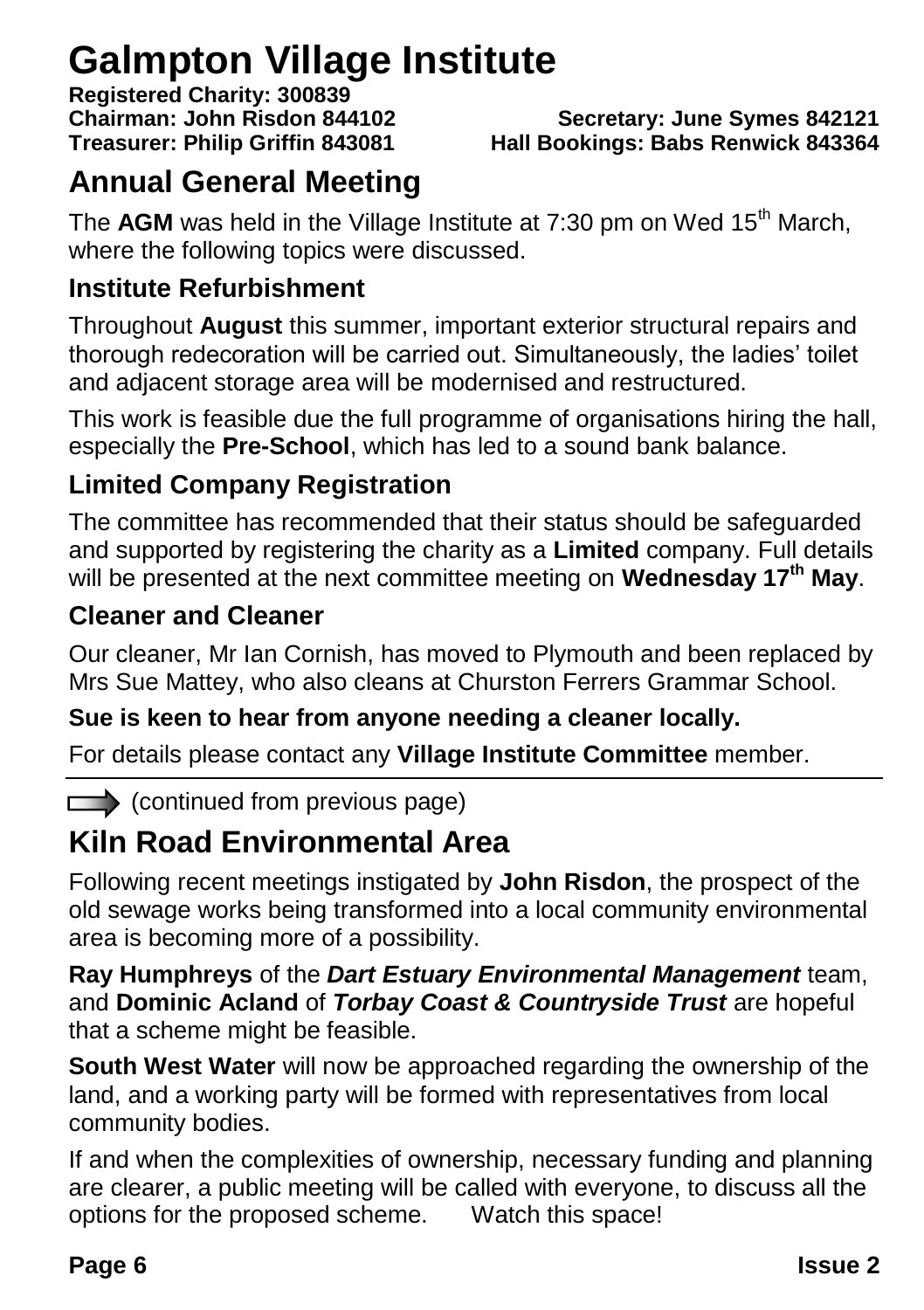### **Galmpton Village Institute**

**Registered Charity: 300839**

**Chairman: John Risdon 844102 Secretary: June Symes 842121 Treasurer: Philip Griffin 843081 Hall Bookings: Babs Renwick 843364**

### **Annual General Meeting**

The **AGM** was held in the Village Institute at 7:30 pm on Wed 15<sup>th</sup> March, where the following topics were discussed.

#### **Institute Refurbishment**

Throughout **August** this summer, important exterior structural repairs and thorough redecoration will be carried out. Simultaneously, the ladies' toilet and adjacent storage area will be modernised and restructured.

This work is feasible due the full programme of organisations hiring the hall, especially the **Pre-School**, which has led to a sound bank balance.

### **Limited Company Registration**

The committee has recommended that their status should be safeguarded and supported by registering the charity as a **Limited** company. Full details will be presented at the next committee meeting on **Wednesday 17th May**.

#### **Cleaner and Cleaner**

Our cleaner, Mr Ian Cornish, has moved to Plymouth and been replaced by Mrs Sue Mattey, who also cleans at Churston Ferrers Grammar School.

#### **Sue is keen to hear from anyone needing a cleaner locally.**

For details please contact any **Village Institute Committee** member.

 $\Box$  (continued from previous page)

### **Kiln Road Environmental Area**

Following recent meetings instigated by **John Risdon**, the prospect of the old sewage works being transformed into a local community environmental area is becoming more of a possibility.

**Ray Humphreys** of the *Dart Estuary Environmental Management* team, and **Dominic Acland** of *Torbay Coast & Countryside Trust* are hopeful that a scheme might be feasible.

**South West Water** will now be approached regarding the ownership of the land, and a working party will be formed with representatives from local community bodies.

If and when the complexities of ownership, necessary funding and planning are clearer, a public meeting will be called with everyone, to discuss all the options for the proposed scheme. Watch this space!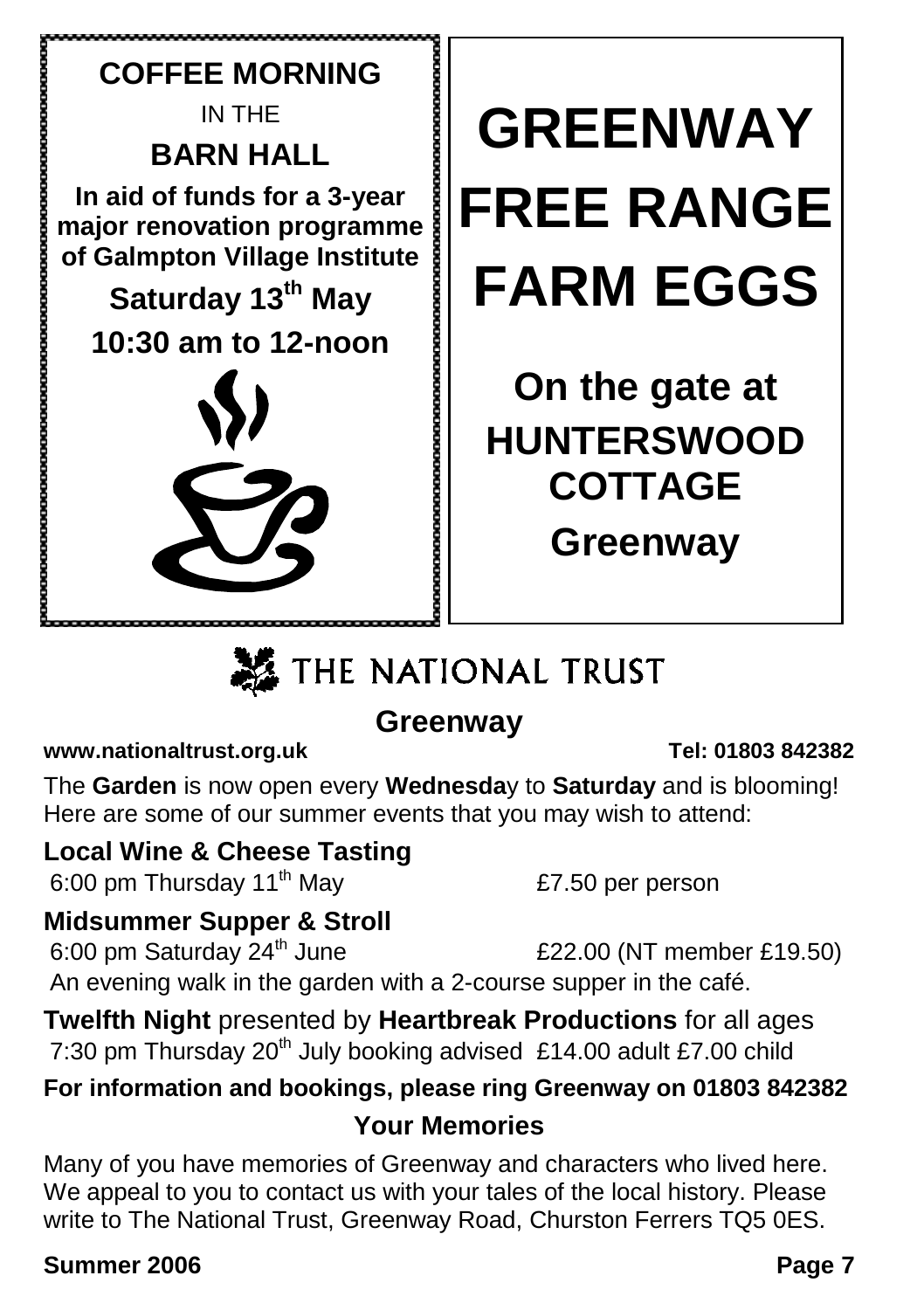

## **ME** THE NATIONAL TRUST

### **Greenway**

#### **www.nationaltrust.org.uk Tel: 01803 842382**

The **Garden** is now open every **Wednesda**y to **Saturday** and is blooming! Here are some of our summer events that you may wish to attend:

### **Local Wine & Cheese Tasting**

6:00 pm Thursday  $11^{th}$  May  $E7.50$  per person

### **Midsummer Supper & Stroll**

6:00 pm Saturday  $24<sup>th</sup>$  June  $£22.00$  (NT member £19.50) An evening walk in the garden with a 2-course supper in the café.

**Twelfth Night** presented by **Heartbreak Productions** for all ages 7:30 pm Thursday  $20<sup>th</sup>$  July booking advised £14.00 adult £7.00 child

### **For information and bookings, please ring Greenway on 01803 842382 Your Memories**

Many of you have memories of Greenway and characters who lived here. We appeal to you to contact us with your tales of the local history. Please write to The National Trust, Greenway Road, Churston Ferrers TQ5 0ES.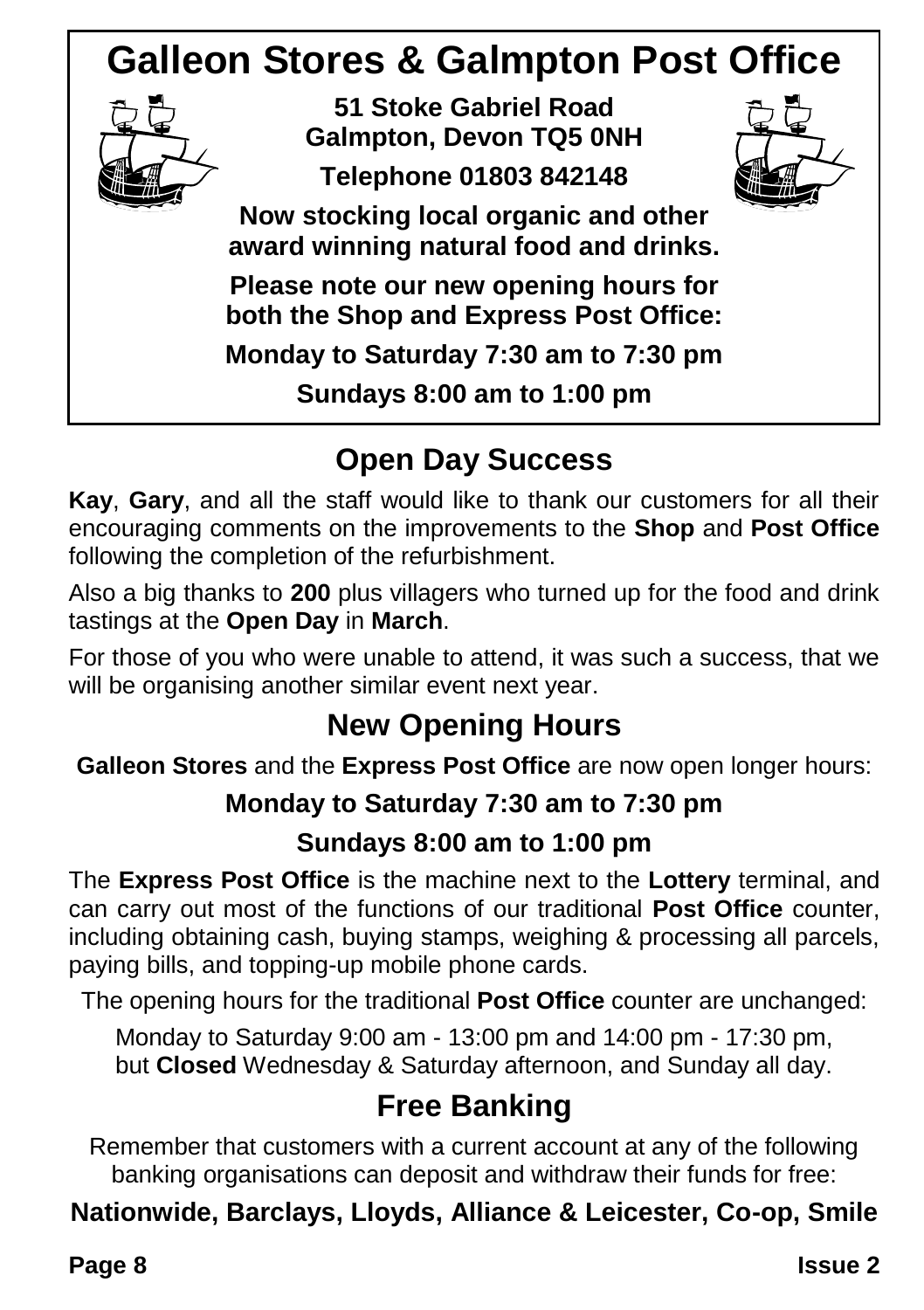### **Galleon Stores & Galmpton Post Office**



**51 Stoke Gabriel Road Galmpton, Devon TQ5 0NH Telephone 01803 842148**



**Now stocking local organic and other award winning natural food and drinks.**

**Please note our new opening hours for both the Shop and Express Post Office: Monday to Saturday 7:30 am to 7:30 pm**

**Sundays 8:00 am to 1:00 pm**

### **Open Day Success**

**Kay**, **Gary**, and all the staff would like to thank our customers for all their encouraging comments on the improvements to the **Shop** and **Post Office** following the completion of the refurbishment.

Also a big thanks to **200** plus villagers who turned up for the food and drink tastings at the **Open Day** in **March**.

For those of you who were unable to attend, it was such a success, that we will be organising another similar event next year.

### **New Opening Hours**

**Galleon Stores** and the **Express Post Office** are now open longer hours:

### **Monday to Saturday 7:30 am to 7:30 pm**

### **Sundays 8:00 am to 1:00 pm**

The **Express Post Office** is the machine next to the **Lottery** terminal, and can carry out most of the functions of our traditional **Post Office** counter, including obtaining cash, buying stamps, weighing & processing all parcels, paying bills, and topping-up mobile phone cards.

The opening hours for the traditional **Post Office** counter are unchanged:

Monday to Saturday 9:00 am - 13:00 pm and 14:00 pm - 17:30 pm, but **Closed** Wednesday & Saturday afternoon, and Sunday all day.

### **Free Banking**

Remember that customers with a current account at any of the following banking organisations can deposit and withdraw their funds for free:

### **Nationwide, Barclays, Lloyds, Alliance & Leicester, Co-op, Smile**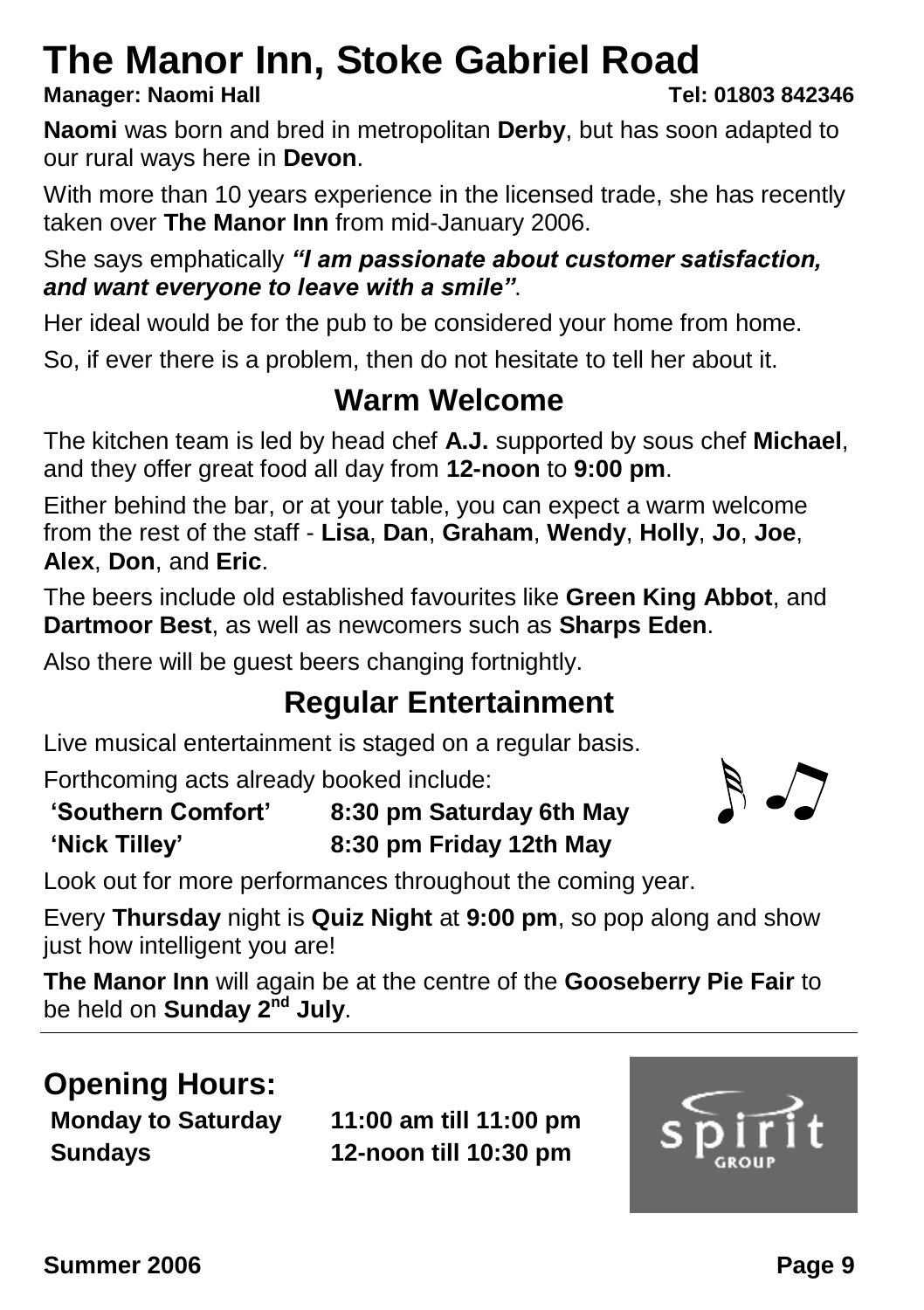### **The Manor Inn, Stoke Gabriel Road**

#### **Manager: Naomi Hall Tel: 01803 842346**

**Naomi** was born and bred in metropolitan **Derby**, but has soon adapted to our rural ways here in **Devon**.

With more than 10 years experience in the licensed trade, she has recently taken over **The Manor Inn** from mid-January 2006.

She says emphatically *"I am passionate about customer satisfaction, and want everyone to leave with a smile"*.

Her ideal would be for the pub to be considered your home from home.

So, if ever there is a problem, then do not hesitate to tell her about it.

### **Warm Welcome**

The kitchen team is led by head chef **A.J.** supported by sous chef **Michael**, and they offer great food all day from **12-noon** to **9:00 pm**.

Either behind the bar, or at your table, you can expect a warm welcome from the rest of the staff - **Lisa**, **Dan**, **Graham**, **Wendy**, **Holly**, **Jo**, **Joe**, **Alex**, **Don**, and **Eric**.

The beers include old established favourites like **Green King Abbot**, and **Dartmoor Best**, as well as newcomers such as **Sharps Eden**.

Also there will be guest beers changing fortnightly.

### **Regular Entertainment**

Live musical entertainment is staged on a regular basis.

Forthcoming acts already booked include:

**'Southern Comfort' 8:30 pm Saturday 6th May 'Nick Tilley' 8:30 pm Friday 12th May**

Look out for more performances throughout the coming year.

Every **Thursday** night is **Quiz Night** at **9:00 pm**, so pop along and show just how intelligent you are!

**The Manor Inn** will again be at the centre of the **Gooseberry Pie Fair** to be held on **Sunday 2nd July**.

### **Opening Hours:**

**Monday to Saturday 11:00 am till 11:00 pm Sundays 12-noon till 10:30 pm**



 $\sqrt{7}$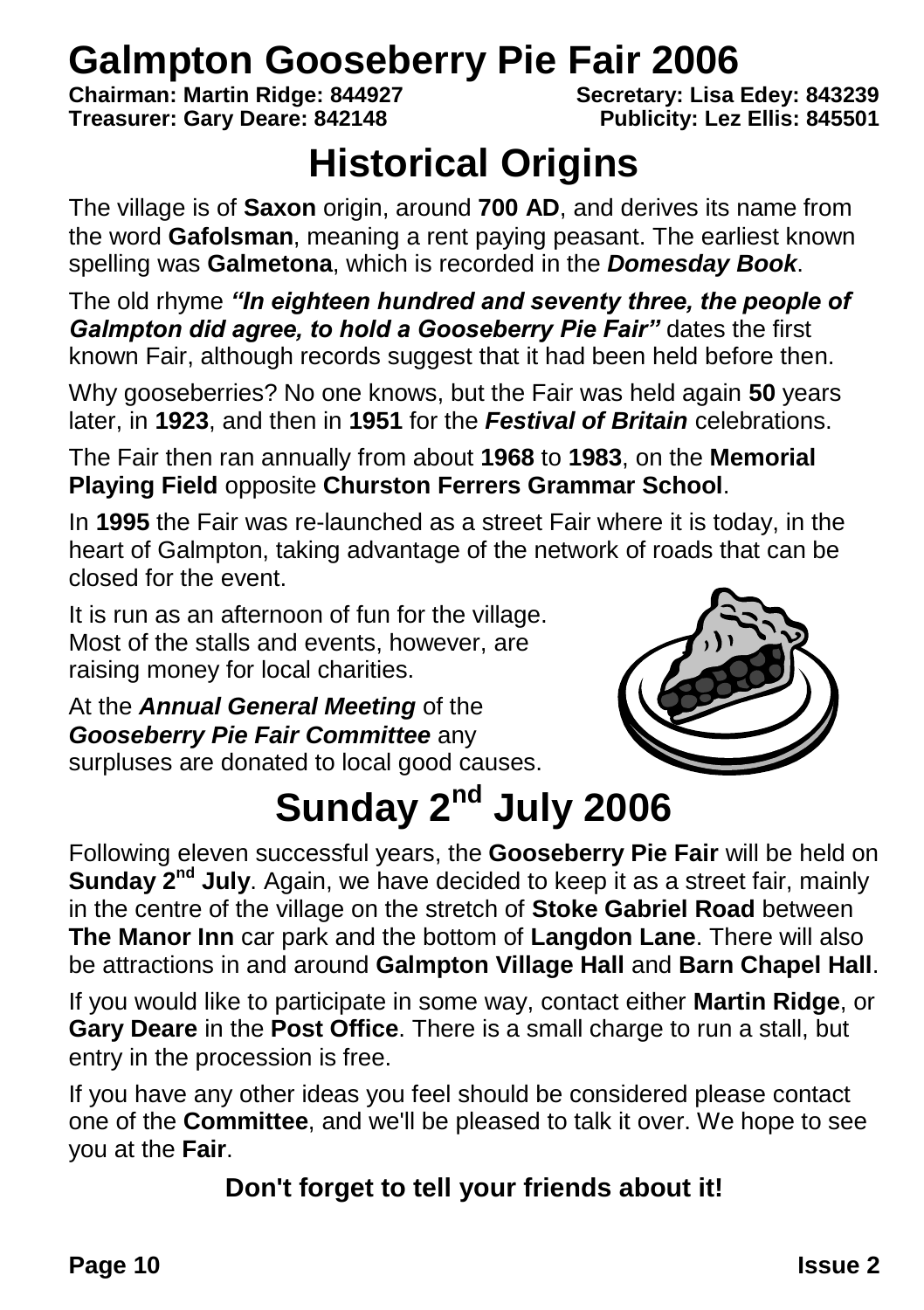# **Galmpton Gooseberry Pie Fair 2006**<br>Chairman: Martin Ridge: 844927<br>Secretary: Lisa Edev: 843239

**Chairman: Martin Ridge: 844927 Secretary: Lisa Edey: 843239 Treasurer: Gary Deare: 842148** 

### **Historical Origins**

The village is of **Saxon** origin, around **700 AD**, and derives its name from the word **Gafolsman**, meaning a rent paying peasant. The earliest known spelling was **Galmetona**, which is recorded in the *Domesday Book*.

The old rhyme *"In eighteen hundred and seventy three, the people of Galmpton did agree, to hold a Gooseberry Pie Fair"* dates the first known Fair, although records suggest that it had been held before then.

Why gooseberries? No one knows, but the Fair was held again **50** years later, in **1923**, and then in **1951** for the *Festival of Britain* celebrations.

The Fair then ran annually from about **1968** to **1983**, on the **Memorial Playing Field** opposite **Churston Ferrers Grammar School**.

In **1995** the Fair was re-launched as a street Fair where it is today, in the heart of Galmpton, taking advantage of the network of roads that can be closed for the event.

It is run as an afternoon of fun for the village. Most of the stalls and events, however, are raising money for local charities.

At the *Annual General Meeting* of the *Gooseberry Pie Fair Committee* any surpluses are donated to local good causes.



## **Sunday 2nd July 2006**

Following eleven successful years, the **Gooseberry Pie Fair** will be held on **Sunday 2nd July**. Again, we have decided to keep it as a street fair, mainly in the centre of the village on the stretch of **Stoke Gabriel Road** between **The Manor Inn** car park and the bottom of **Langdon Lane**. There will also be attractions in and around **Galmpton Village Hall** and **Barn Chapel Hall**.

If you would like to participate in some way, contact either **Martin Ridge**, or **Gary Deare** in the **Post Office**. There is a small charge to run a stall, but entry in the procession is free.

If you have any other ideas you feel should be considered please contact one of the **Committee**, and we'll be pleased to talk it over. We hope to see you at the **Fair**.

### **Don't forget to tell your friends about it!**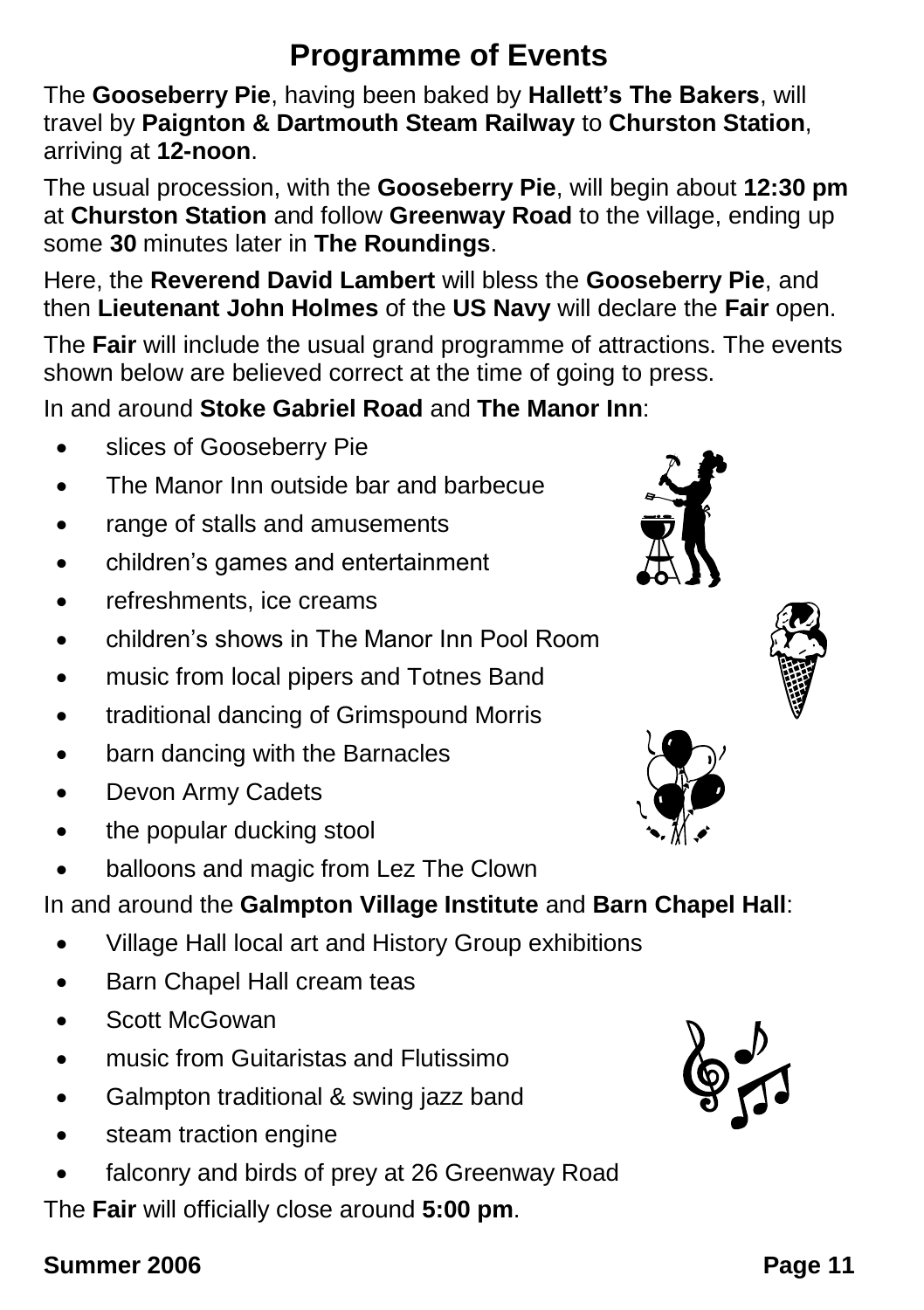### **Programme of Events**

The **Gooseberry Pie**, having been baked by **Hallett's The Bakers**, will travel by **Paignton & Dartmouth Steam Railway** to **Churston Station**, arriving at **12-noon**.

The usual procession, with the **Gooseberry Pie**, will begin about **12:30 pm** at **Churston Station** and follow **Greenway Road** to the village, ending up some **30** minutes later in **The Roundings**.

Here, the **Reverend David Lambert** will bless the **Gooseberry Pie**, and then **Lieutenant John Holmes** of the **US Navy** will declare the **Fair** open.

The **Fair** will include the usual grand programme of attractions. The events shown below are believed correct at the time of going to press.

In and around **Stoke Gabriel Road** and **The Manor Inn**:

- slices of Gooseberry Pie
- The Manor Inn outside bar and barbecue
- range of stalls and amusements
- children's games and entertainment
- refreshments, ice creams
- children's shows in The Manor Inn Pool Room
- music from local pipers and Totnes Band
- traditional dancing of Grimspound Morris
- barn dancing with the Barnacles
- Devon Army Cadets
- the popular ducking stool
- balloons and magic from Lez The Clown

In and around the **Galmpton Village Institute** and **Barn Chapel Hall**:

- Village Hall local art and History Group exhibitions
- **Barn Chapel Hall cream teas**
- Scott McGowan
- **Inusic from Guitaristas and Flutissimo**
- Galmpton traditional & swing jazz band
- steam traction engine
- falconry and birds of prey at 26 Greenway Road

The **Fair** will officially close around **5:00 pm**.







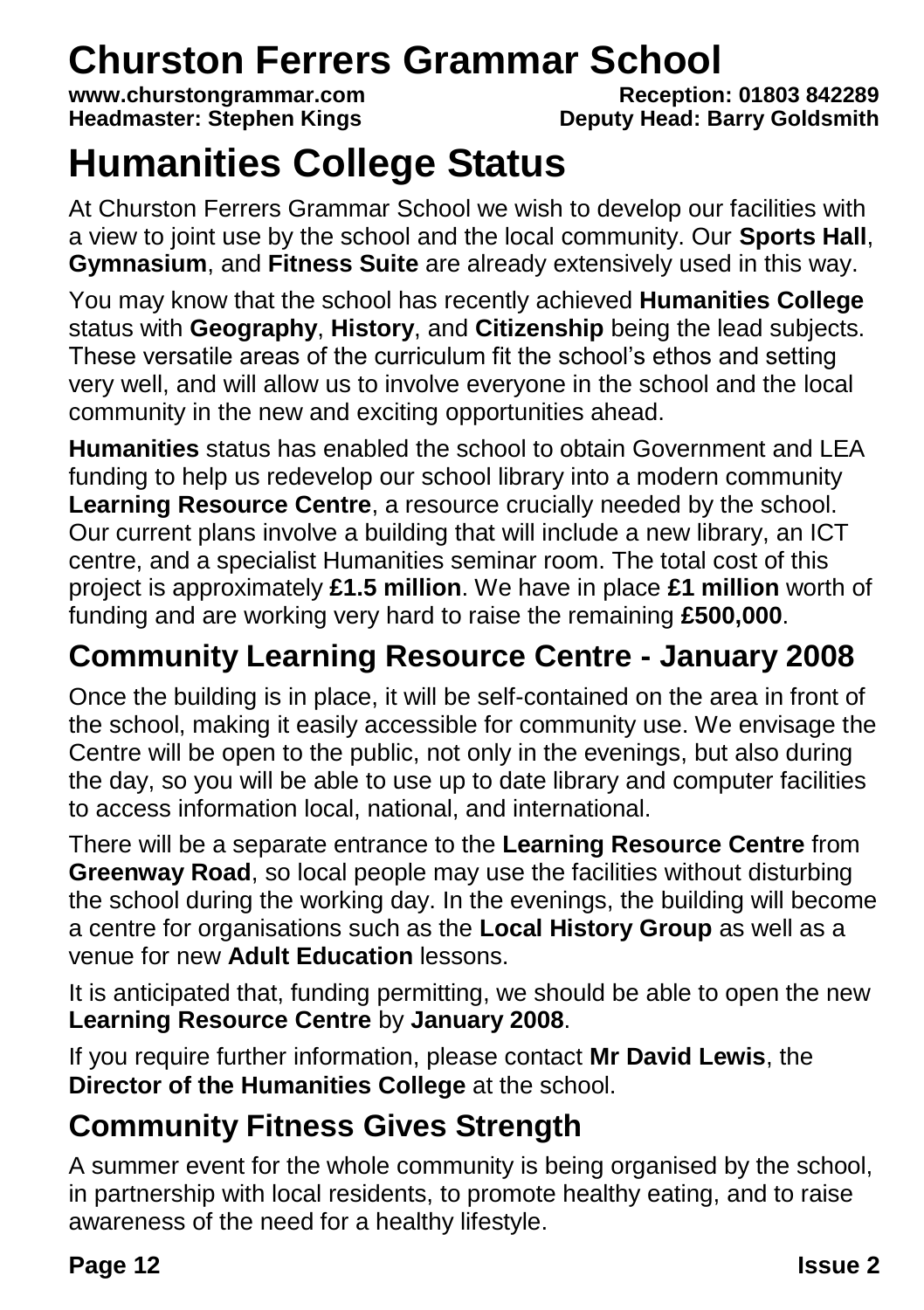# **Churston Ferrers Grammar School**<br>www.churstongrammar.com<br>Reception: 01803 842289

www.churstongrammar.com<br>**Headmaster: Stephen Kings** 

**Deputy Head: Barry Goldsmith** 

## **Humanities College Status**

At Churston Ferrers Grammar School we wish to develop our facilities with a view to joint use by the school and the local community. Our **Sports Hall**, **Gymnasium**, and **Fitness Suite** are already extensively used in this way.

You may know that the school has recently achieved **Humanities College** status with **Geography**, **History**, and **Citizenship** being the lead subjects. These versatile areas of the curriculum fit the school's ethos and setting very well, and will allow us to involve everyone in the school and the local community in the new and exciting opportunities ahead.

**Humanities** status has enabled the school to obtain Government and LEA funding to help us redevelop our school library into a modern community **Learning Resource Centre**, a resource crucially needed by the school. Our current plans involve a building that will include a new library, an ICT centre, and a specialist Humanities seminar room. The total cost of this project is approximately **£1.5 million**. We have in place **£1 million** worth of funding and are working very hard to raise the remaining **£500,000**.

### **Community Learning Resource Centre - January 2008**

Once the building is in place, it will be self-contained on the area in front of the school, making it easily accessible for community use. We envisage the Centre will be open to the public, not only in the evenings, but also during the day, so you will be able to use up to date library and computer facilities to access information local, national, and international.

There will be a separate entrance to the **Learning Resource Centre** from **Greenway Road**, so local people may use the facilities without disturbing the school during the working day. In the evenings, the building will become a centre for organisations such as the **Local History Group** as well as a venue for new **Adult Education** lessons.

It is anticipated that, funding permitting, we should be able to open the new **Learning Resource Centre** by **January 2008**.

If you require further information, please contact **Mr David Lewis**, the **Director of the Humanities College** at the school.

### **Community Fitness Gives Strength**

A summer event for the whole community is being organised by the school, in partnership with local residents, to promote healthy eating, and to raise awareness of the need for a healthy lifestyle.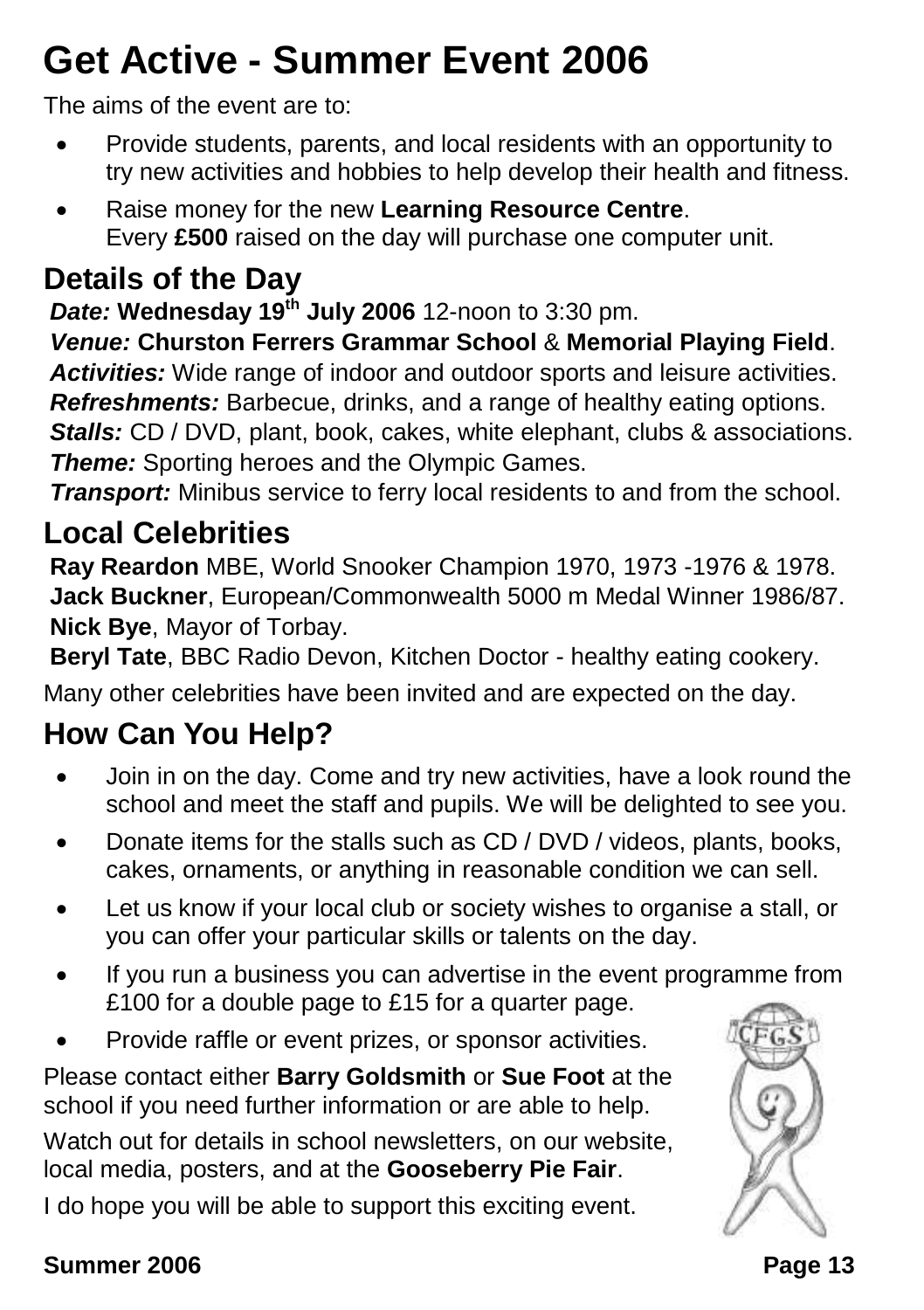## **Get Active - Summer Event 2006**

The aims of the event are to:

- Provide students, parents, and local residents with an opportunity to try new activities and hobbies to help develop their health and fitness.
- Raise money for the new **Learning Resource Centre**. Every **£500** raised on the day will purchase one computer unit.

### **Details of the Day**

*Date:* **Wednesday 19th July 2006** 12-noon to 3:30 pm.

*Venue:* **Churston Ferrers Grammar School** & **Memorial Playing Field**. *Activities:* Wide range of indoor and outdoor sports and leisure activities. *Refreshments:* Barbecue, drinks, and a range of healthy eating options. *Stalls: CD / DVD, plant, book, cakes, white elephant, clubs & associations. Theme:* Sporting heroes and the Olympic Games.

*Transport:* Minibus service to ferry local residents to and from the school.

### **Local Celebrities**

**Ray Reardon** MBE, World Snooker Champion 1970, 1973 -1976 & 1978. **Jack Buckner**, European/Commonwealth 5000 m Medal Winner 1986/87. **Nick Bye**, Mayor of Torbay.

**Beryl Tate**, BBC Radio Devon, Kitchen Doctor - healthy eating cookery.

Many other celebrities have been invited and are expected on the day.

### **How Can You Help?**

- Join in on the day. Come and try new activities, have a look round the school and meet the staff and pupils. We will be delighted to see you.
- Donate items for the stalls such as CD / DVD / videos, plants, books, cakes, ornaments, or anything in reasonable condition we can sell.
- Let us know if your local club or society wishes to organise a stall, or you can offer your particular skills or talents on the day.
- If you run a business you can advertise in the event programme from £100 for a double page to £15 for a quarter page.
- Provide raffle or event prizes, or sponsor activities.

Please contact either **Barry Goldsmith** or **Sue Foot** at the school if you need further information or are able to help.

Watch out for details in school newsletters, on our website, local media, posters, and at the **Gooseberry Pie Fair**.

I do hope you will be able to support this exciting event.

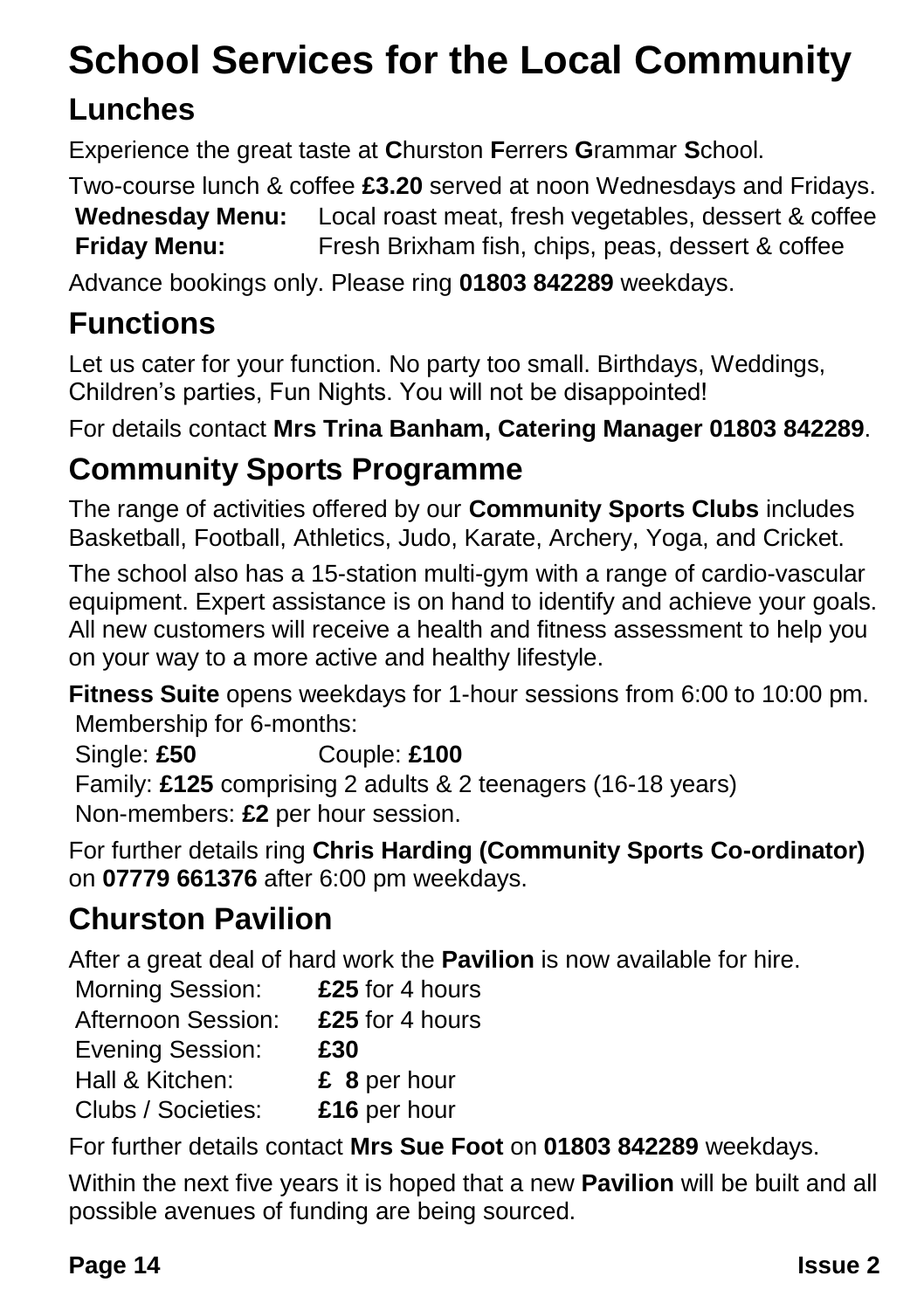## **School Services for the Local Community**

### **Lunches**

Experience the great taste at **C**hurston **F**errers **G**rammar **S**chool.

Two-course lunch & coffee **£3.20** served at noon Wednesdays and Fridays. **Wednesday Menu:** Local roast meat, fresh vegetables, dessert & coffee **Friday Menu:** Fresh Brixham fish, chips, peas, dessert & coffee

Advance bookings only. Please ring **01803 842289** weekdays.

### **Functions**

Let us cater for your function. No party too small. Birthdays, Weddings, Children's parties, Fun Nights. You will not be disappointed!

For details contact **Mrs Trina Banham, Catering Manager 01803 842289**.

### **Community Sports Programme**

The range of activities offered by our **Community Sports Clubs** includes Basketball, Football, Athletics, Judo, Karate, Archery, Yoga, and Cricket.

The school also has a 15-station multi-gym with a range of cardio-vascular equipment. Expert assistance is on hand to identify and achieve your goals. All new customers will receive a health and fitness assessment to help you on your way to a more active and healthy lifestyle.

**Fitness Suite** opens weekdays for 1-hour sessions from 6:00 to 10:00 pm. Membership for 6-months:

Single: **£50** Couple: **£100** Family: **£125** comprising 2 adults & 2 teenagers (16-18 years) Non-members: **£2** per hour session.

For further details ring **Chris Harding (Community Sports Co-ordinator)** on **07779 661376** after 6:00 pm weekdays.

### **Churston Pavilion**

After a great deal of hard work the **Pavilion** is now available for hire.

Morning Session: **£25** for 4 hours Afternoon Session: **£25** for 4 hours Evening Session: **£30** Hall & Kitchen: **£ 8** per hour Clubs / Societies: **£16** per hour

For further details contact **Mrs Sue Foot** on **01803 842289** weekdays.

Within the next five years it is hoped that a new **Pavilion** will be built and all possible avenues of funding are being sourced.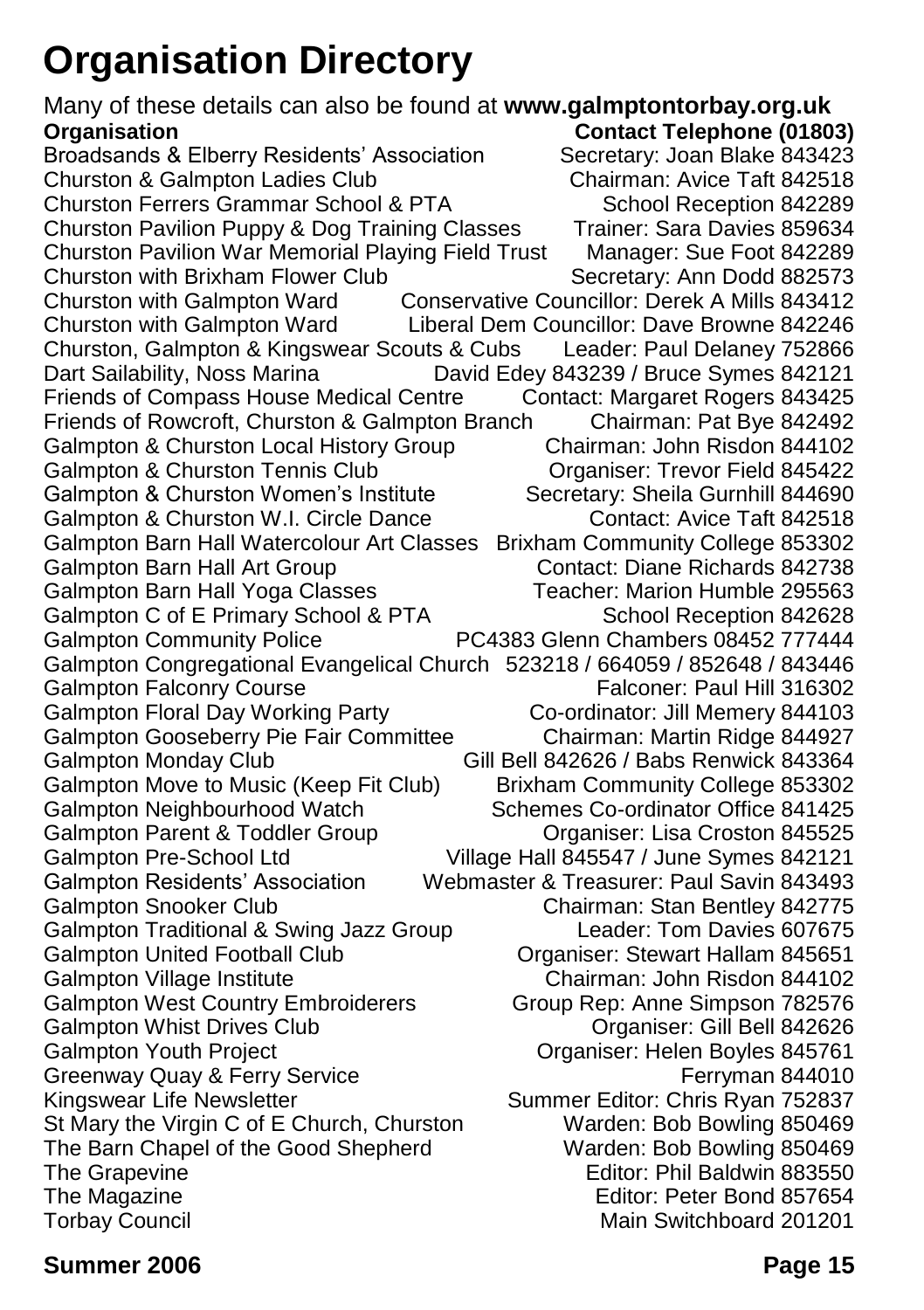## **Organisation Directory**

Many of these details can also be found at **www.galmptontorbay.org.uk Organisation Contact Telephone (01803)** Broadsands & Elberry Residents' Association Secretary: Joan Blake 843423<br>Churston & Galmpton Ladies Club Chairman: Avice Taft 842518 Churston & Galmpton Ladies Club Churston Ferrers Grammar School & PTA School Reception 842289 Churston Pavilion Puppy & Dog Training Classes Trainer: Sara Davies 859634 Churston Pavilion War Memorial Playing Field Trust Manager: Sue Foot 842289 Churston with Brixham Flower Club Secretary: Ann Dodd 882573 Churston with Galmpton Ward Conservative Councillor: Derek A Mills 843412 Churston with Galmpton Ward Liberal Dem Councillor: Dave Browne 842246 Churston, Galmpton & Kingswear Scouts & Cubs Leader: Paul Delaney 752866 Dart Sailability, Noss Marina David Edey 843239 / Bruce Symes 842121 Friends of Compass House Medical Centre Contact: Margaret Rogers 843425 Friends of Rowcroft, Churston & Galmpton Branch Chairman: Pat Bye 842492 Galmpton & Churston Local History Group Chairman: John Risdon 844102<br>Galmpton & Churston Tennis Club Corganiser: Trevor Field 845422 Galmpton & Churston Tennis Club Galmpton & Churston Women's Institute Secretary: Sheila Gurnhill 844690 Galmpton & Churston W.I. Circle Dance Contact: Avice Taft 842518 Galmpton Barn Hall Watercolour Art Classes Brixham Community College 853302 Galmpton Barn Hall Art Group Contact: Diane Richards 842738 Galmpton Barn Hall Yoga Classes Teacher: Marion Humble 295563 Galmpton C of E Primary School & PTA School Reception 842628 Galmpton Community Police PC4383 Glenn Chambers 08452 777444 Galmpton Congregational Evangelical Church 523218 / 664059 / 852648 / 843446 Galmpton Falconry Course **Falconer: Paul Hill 316302** Galmpton Floral Day Working Party Co-ordinator: Jill Memery 844103 Galmpton Gooseberry Pie Fair Committee Chairman: Martin Ridge 844927 Galmpton Monday Club Gill Bell 842626 / Babs Renwick 843364 Galmpton Move to Music (Keep Fit Club) Brixham Community College 853302 Galmpton Neighbourhood Watch Schemes Co-ordinator Office 841425 Galmpton Parent & Toddler Group Croston 845525 Galmpton Pre-School Ltd Village Hall 845547 / June Symes 842121 Galmpton Residents' Association Webmaster & Treasurer: Paul Savin 843493 Galmpton Snooker Club Chairman: Stan Bentley 842775 Galmpton Traditional & Swing Jazz Group Leader: Tom Davies 607675 Galmpton United Football Club **Club Calmental Club Organiser: Stewart Hallam 845651** Galmpton Village Institute Chairman: John Risdon 844102 Galmpton West Country Embroiderers Group Rep: Anne Simpson 782576 Galmpton Whist Drives Club **Club Community Community** Organiser: Gill Bell 842626<br>Communisty Communisty: Helen Boyles 845761 Organiser: Helen Boyles 845761 Greenway Quay & Ferry Service **Ferryman 844010** Ferryman 844010 Kingswear Life Newsletter Summer Editor: Chris Ryan 752837 St Mary the Virgin C of E Church, Churston Warden: Bob Bowling 850469 The Barn Chapel of the Good Shepherd Warden: Bob Bowling 850469 The Grapevine **Editor: Phil Baldwin 883550** The Magazine **Editor: Peter Bond 857654** Torbay Council Main Switchboard 201201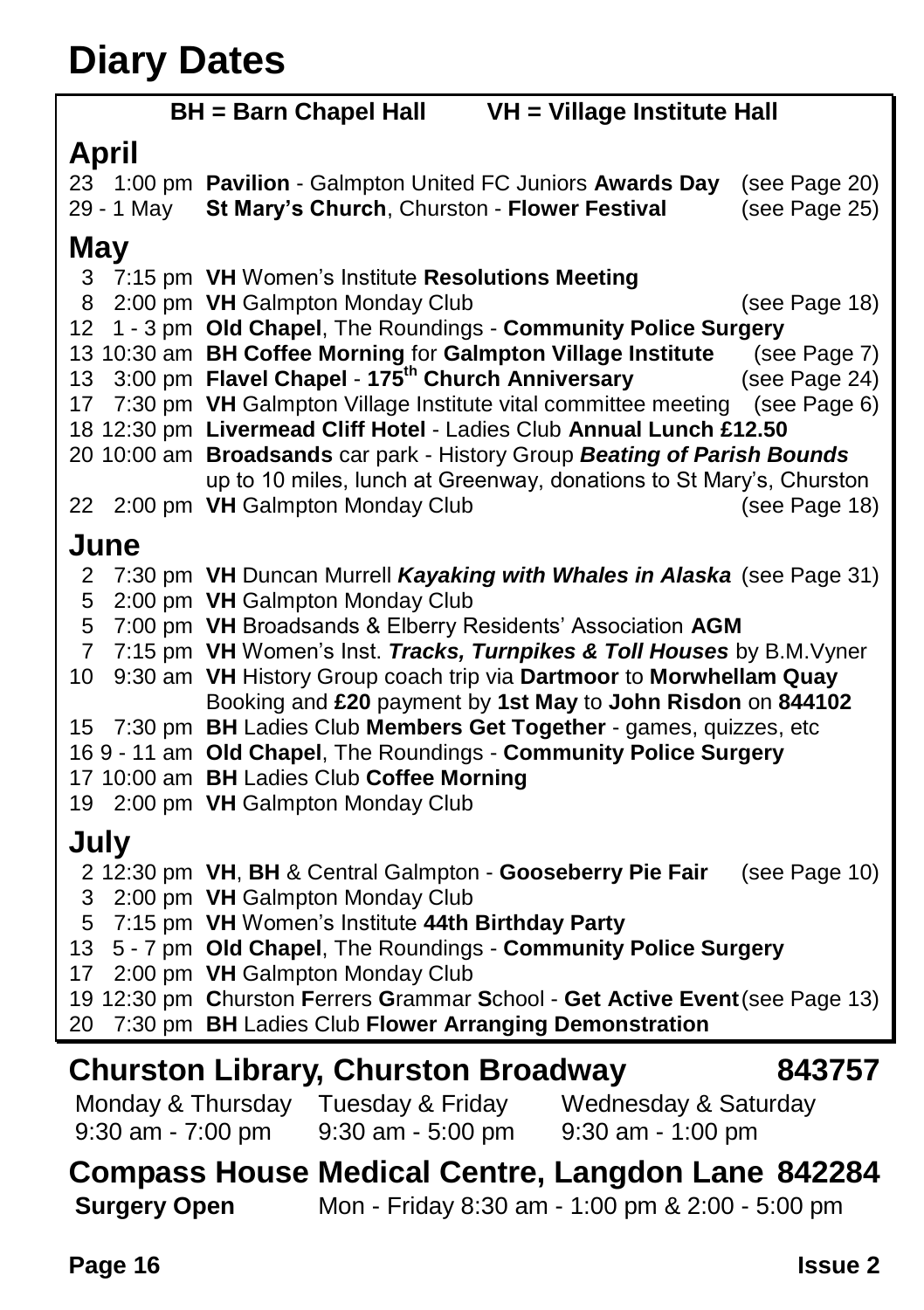### **Diary Dates**

| <b>BH</b> = Barn Chapel Hall<br>VH = Village Institute Hall |                                                                                     |               |  |
|-------------------------------------------------------------|-------------------------------------------------------------------------------------|---------------|--|
| April                                                       |                                                                                     |               |  |
|                                                             | 23 1:00 pm Pavilion - Galmpton United FC Juniors Awards Day                         | (see Page 20) |  |
| 29 - 1 May                                                  | St Mary's Church, Churston - Flower Festival                                        | (see Page 25) |  |
|                                                             |                                                                                     |               |  |
| May                                                         |                                                                                     |               |  |
| 3<br>8                                                      | 7:15 pm VH Women's Institute Resolutions Meeting<br>2:00 pm VH Galmpton Monday Club | (see Page 18) |  |
| 12                                                          | 1 - 3 pm Old Chapel, The Roundings - Community Police Surgery                       |               |  |
|                                                             | 13 10:30 am BH Coffee Morning for Galmpton Village Institute                        | (see Page 7)  |  |
| 13                                                          | 3:00 pm Flavel Chapel - 175 <sup>th</sup> Church Anniversary                        | (see Page 24) |  |
| 17                                                          | 7:30 pm VH Galmpton Village Institute vital committee meeting (see Page 6)          |               |  |
|                                                             | 18 12:30 pm Livermead Cliff Hotel - Ladies Club Annual Lunch £12.50                 |               |  |
|                                                             | 20 10:00 am Broadsands car park - History Group Beating of Parish Bounds            |               |  |
|                                                             | up to 10 miles, lunch at Greenway, donations to St Mary's, Churston                 |               |  |
| 22                                                          | 2:00 pm VH Galmpton Monday Club                                                     | (see Page 18) |  |
| June                                                        |                                                                                     |               |  |
| 2                                                           | 7:30 pm VH Duncan Murrell Kayaking with Whales in Alaska (see Page 31)              |               |  |
| 5                                                           | 2:00 pm VH Galmpton Monday Club                                                     |               |  |
| 5                                                           | 7:00 pm VH Broadsands & Elberry Residents' Association AGM                          |               |  |
| 7                                                           | 7:15 pm VH Women's Inst. Tracks, Turnpikes & Toll Houses by B.M. Vyner              |               |  |
| 10                                                          | 9:30 am VH History Group coach trip via Dartmoor to Morwhellam Quay                 |               |  |
| Booking and £20 payment by 1st May to John Risdon on 844102 |                                                                                     |               |  |
|                                                             | 15 7:30 pm BH Ladies Club Members Get Together - games, quizzes, etc                |               |  |
|                                                             | 169 - 11 am Old Chapel, The Roundings - Community Police Surgery                    |               |  |
|                                                             | 17 10:00 am BH Ladies Club Coffee Morning                                           |               |  |
|                                                             | 19 2:00 pm VH Galmpton Monday Club                                                  |               |  |
| July                                                        |                                                                                     |               |  |
|                                                             | 2 12:30 pm VH, BH & Central Galmpton - Gooseberry Pie Fair                          | (see Page 10) |  |
| 3                                                           | 2:00 pm VH Galmpton Monday Club                                                     |               |  |
| 5                                                           | 7:15 pm VH Women's Institute 44th Birthday Party                                    |               |  |
| 13                                                          | 5 - 7 pm Old Chapel, The Roundings - Community Police Surgery                       |               |  |
| 17                                                          | 2:00 pm VH Galmpton Monday Club                                                     |               |  |
|                                                             | 19 12:30 pm Churston Ferrers Grammar School - Get Active Event (see Page 13)        |               |  |
| 20                                                          | 7:30 pm BH Ladies Club Flower Arranging Demonstration                               |               |  |
|                                                             | <b>Churston Library, Churston Broadway</b>                                          | 843757        |  |
| Monday & Thursday                                           | Tuesday & Friday<br>Wednesday & Saturday                                            |               |  |
| 9:30 am - 7:00 pm                                           | 9:30 am - 5:00 pm<br>9:30 am - 1:00 pm                                              |               |  |

**Compass House Medical Centre, Langdon Lane 842284**<br>Surgery Open Mon - Friday 8:30 am - 1:00 pm & 2:00 - 5:00 pm **Surgery Open** Mon - Friday 8:30 am - 1:00 pm & 2:00 - 5:00 pm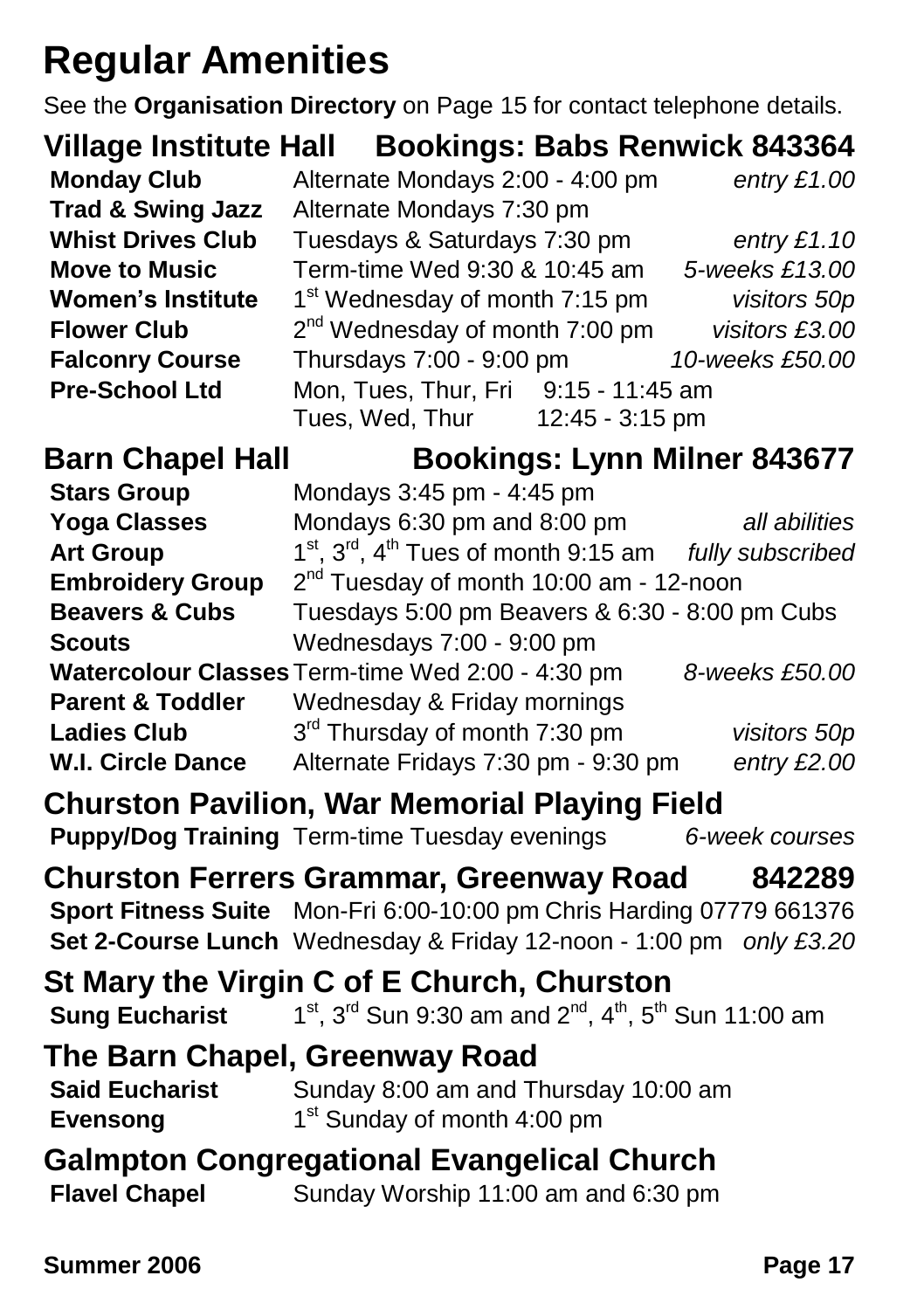### **Regular Amenities**

See the **Organisation Directory** on Page 15 for contact telephone details.

|                              | Village Institute Hall Bookings: Babs Renwick 843364 |                 |
|------------------------------|------------------------------------------------------|-----------------|
| <b>Monday Club</b>           | Alternate Mondays 2:00 - 4:00 pm                     | entry $£1.00$   |
| <b>Trad &amp; Swing Jazz</b> | Alternate Mondays 7:30 pm                            |                 |
| <b>Whist Drives Club</b>     | Tuesdays & Saturdays 7:30 pm                         | entry $£1.10$   |
| <b>Move to Music</b>         | Term-time Wed 9:30 & 10:45 am                        | 5-weeks £13.00  |
| <b>Women's Institute</b>     | 1 <sup>st</sup> Wednesday of month 7:15 pm           | visitors 50p    |
| <b>Flower Club</b>           | $2nd$ Wednesday of month 7:00 pm                     | visitors £3.00  |
| <b>Falconry Course</b>       | Thursdays 7:00 - 9:00 pm                             | 10-weeks £50.00 |
| <b>Pre-School Ltd</b>        | Mon, Tues, Thur, Fri 9:15 - 11:45 am                 |                 |
|                              | 12:45 - 3:15 pm<br>Tues, Wed, Thur                   |                 |

**Barn Chapel Hall Bookings: Lynn Milner 843677**

| <b>Stars Group</b>                                   | Mondays 3:45 pm - 4:45 pm                        |                  |
|------------------------------------------------------|--------------------------------------------------|------------------|
| <b>Yoga Classes</b>                                  | Mondays 6:30 pm and 8:00 pm                      | all abilities    |
| <b>Art Group</b>                                     | $1st$ , $3rd$ , $4th$ Tues of month 9:15 am      | fully subscribed |
| <b>Embroidery Group</b>                              | $2nd$ Tuesday of month 10:00 am - 12-noon        |                  |
| <b>Beavers &amp; Cubs</b>                            | Tuesdays 5:00 pm Beavers & 6:30 - 8:00 pm Cubs   |                  |
| <b>Scouts</b>                                        | Wednesdays 7:00 - 9:00 pm                        |                  |
|                                                      | Watercolour Classes Term-time Wed 2:00 - 4:30 pm | 8-weeks £50.00   |
| <b>Parent &amp; Toddler</b>                          | Wednesday & Friday mornings                      |                  |
| <b>Ladies Club</b>                                   | 3 <sup>rd</sup> Thursday of month 7:30 pm        | visitors 50p     |
| <b>W.I. Circle Dance</b>                             | Alternate Fridays 7:30 pm - 9:30 pm              | entry $£2.00$    |
| <b>Churston Pavilion, War Memorial Playing Field</b> |                                                  |                  |

**Puppy/Dog Training** Term-time Tuesday evenings *6-week courses*

#### **Churston Ferrers Grammar, Greenway Road 842289 Sport Fitness Suite** Mon-Fri 6:00-10:00 pm Chris Harding 07779 661376

**Set 2-Course Lunch** Wednesday & Friday 12-noon - 1:00 pm *only £3.20*

**St Mary the Virgin C of E Church, Churston Sung Eucharist**  $1^{st}$ ,  $3^{rd}$  Sun 9:30 am and  $2^{nd}$ ,  $4^{th}$ ,  $5^{th}$  Sun 11:00 am

### **The Barn Chapel, Greenway Road**

#### **Said Eucharist** Sunday 8:00 am and Thursday 10:00 am **Evensong** 1<sup>st</sup> Sunday of month 4:00 pm

#### **Galmpton Congregational Evangelical Church Flavel Chapel** Sunday Worship 11:00 am and 6:30 pm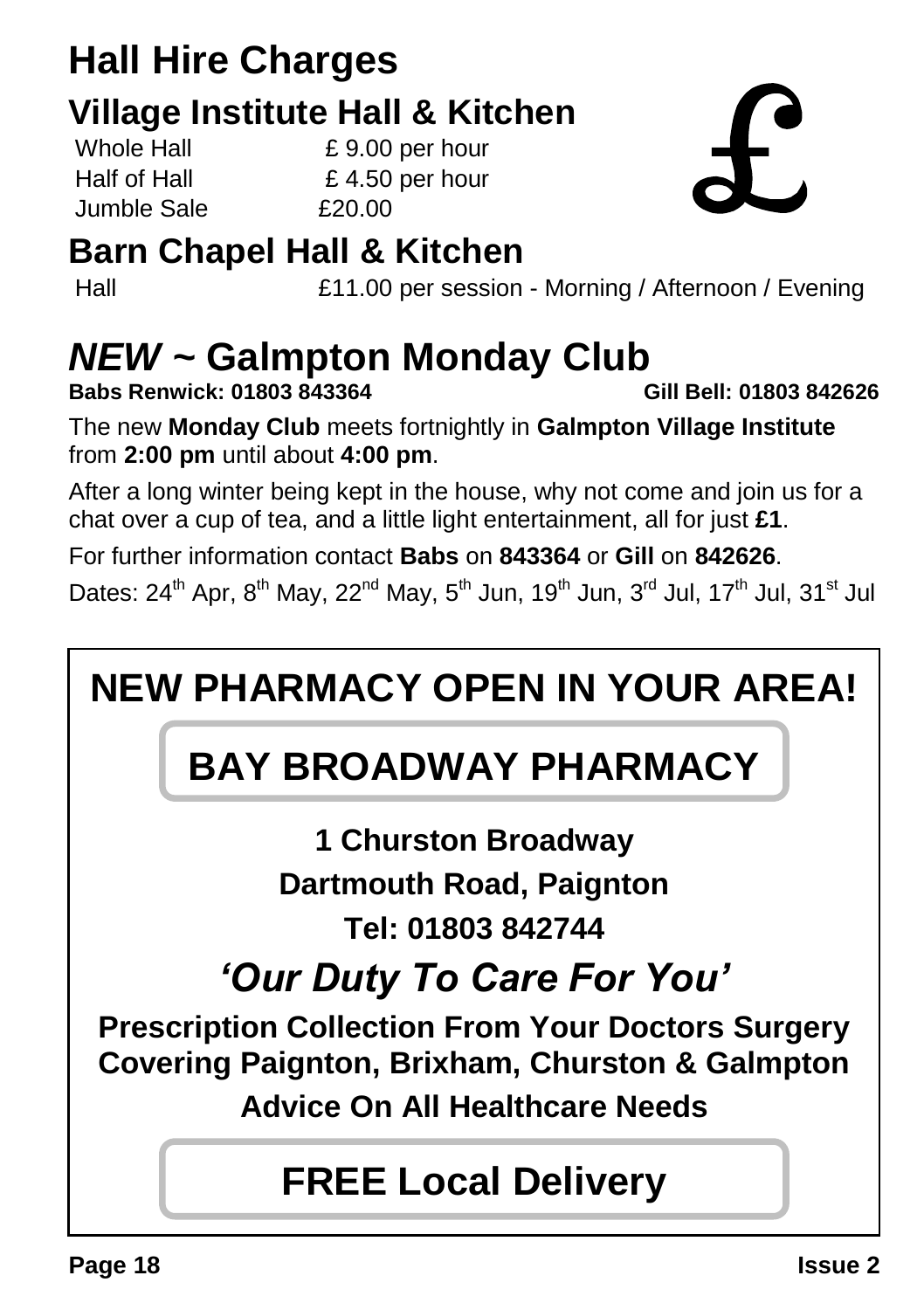### **Hall Hire Charges Village Institute Hall & Kitchen**

 $J$ umble Sale  $\overline{5}$   $\overline{20.00}$ 

Whole Hall E 9.00 per hour Half of Hall  $\qquad \qquad$  £ 4.50 per hour

### **Barn Chapel Hall & Kitchen**

Hall £11.00 per session - Morning / Afternoon / Evening

## *NEW ~* **Galmpton Monday Club**

**Babs Renwick: 01803 843364 Gill Bell: 01803 842626**

The new **Monday Club** meets fortnightly in **Galmpton Village Institute** from **2:00 pm** until about **4:00 pm**.

After a long winter being kept in the house, why not come and join us for a chat over a cup of tea, and a little light entertainment, all for just **£1**.

For further information contact **Babs** on **843364** or **Gill** on **842626**.

Dates:  $24^{\text{th}}$  Apr,  $8^{\text{th}}$  May,  $22^{\text{nd}}$  May,  $5^{\text{th}}$  Jun,  $19^{\text{th}}$  Jun,  $3^{\text{rd}}$  Jul,  $17^{\text{th}}$  Jul,  $31^{\text{st}}$  Jul

### **NEW PHARMACY OPEN IN YOUR AREA!**

### **BAY BROADWAY PHARMACY**

**1 Churston Broadway Dartmouth Road, Paignton Tel: 01803 842744**

*'Our Duty To Care For You'*

**Prescription Collection From Your Doctors Surgery Covering Paignton, Brixham, Churston & Galmpton**

**Advice On All Healthcare Needs**

### **FREE Local Delivery**

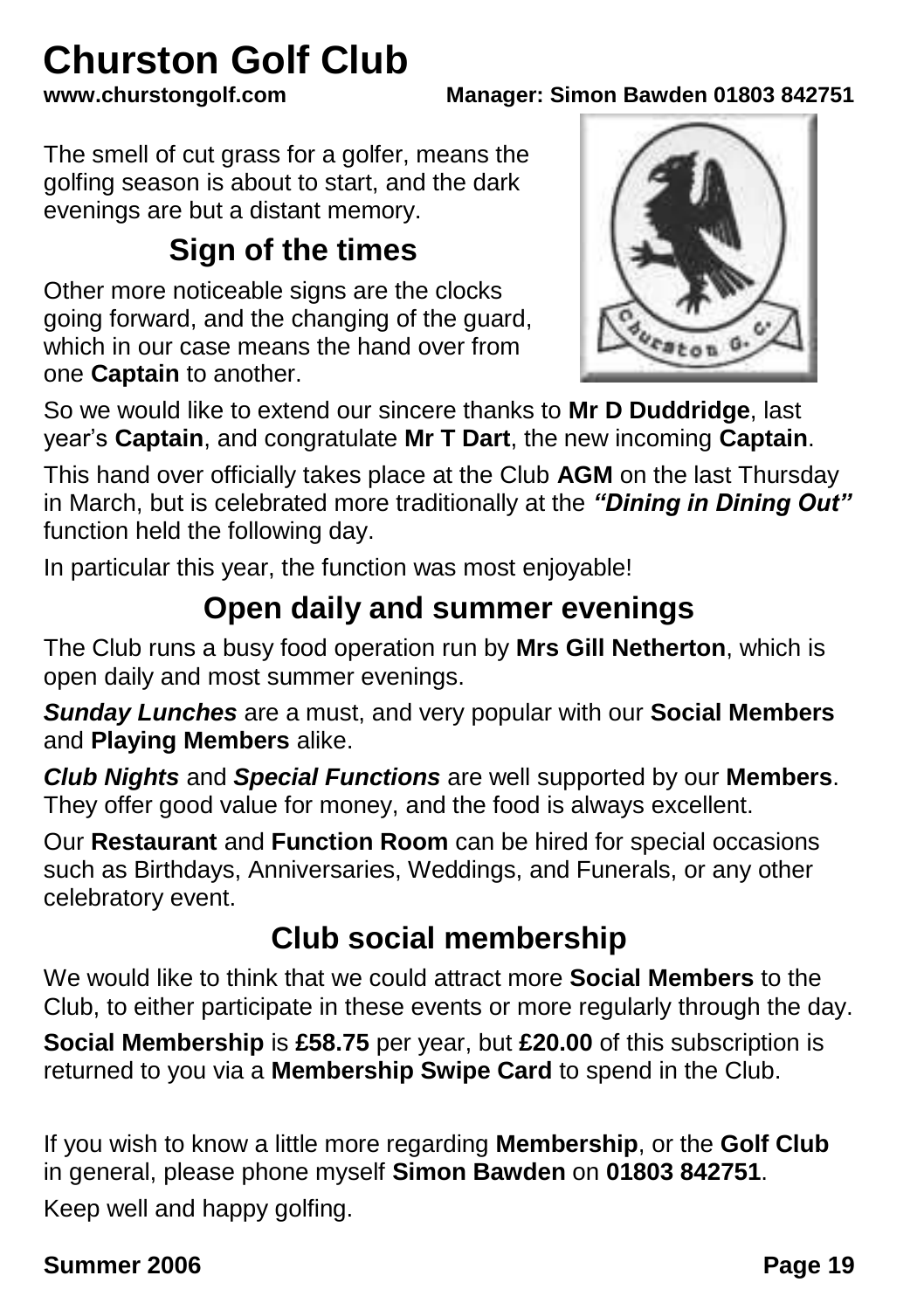# **Churston Golf Club**<br>www.churstongolf.com

**www.churstongolf.com Manager: Simon Bawden 01803 842751**

The smell of cut grass for a golfer, means the golfing season is about to start, and the dark evenings are but a distant memory.

### **Sign of the times**

Other more noticeable signs are the clocks going forward, and the changing of the guard, which in our case means the hand over from one **Captain** to another.



So we would like to extend our sincere thanks to **Mr D Duddridge**, last year's **Captain**, and congratulate **Mr T Dart**, the new incoming **Captain**.

This hand over officially takes place at the Club **AGM** on the last Thursday in March, but is celebrated more traditionally at the *"Dining in Dining Out"* function held the following day.

In particular this year, the function was most enjoyable!

### **Open daily and summer evenings**

The Club runs a busy food operation run by **Mrs Gill Netherton**, which is open daily and most summer evenings.

*Sunday Lunches* are a must, and very popular with our **Social Members** and **Playing Members** alike.

*Club Nights* and *Special Functions* are well supported by our **Members**. They offer good value for money, and the food is always excellent.

Our **Restaurant** and **Function Room** can be hired for special occasions such as Birthdays, Anniversaries, Weddings, and Funerals, or any other celebratory event.

### **Club social membership**

We would like to think that we could attract more **Social Members** to the Club, to either participate in these events or more regularly through the day.

**Social Membership** is **£58.75** per year, but **£20.00** of this subscription is returned to you via a **Membership Swipe Card** to spend in the Club.

If you wish to know a little more regarding **Membership**, or the **Golf Club** in general, please phone myself **Simon Bawden** on **01803 842751**.

Keep well and happy golfing.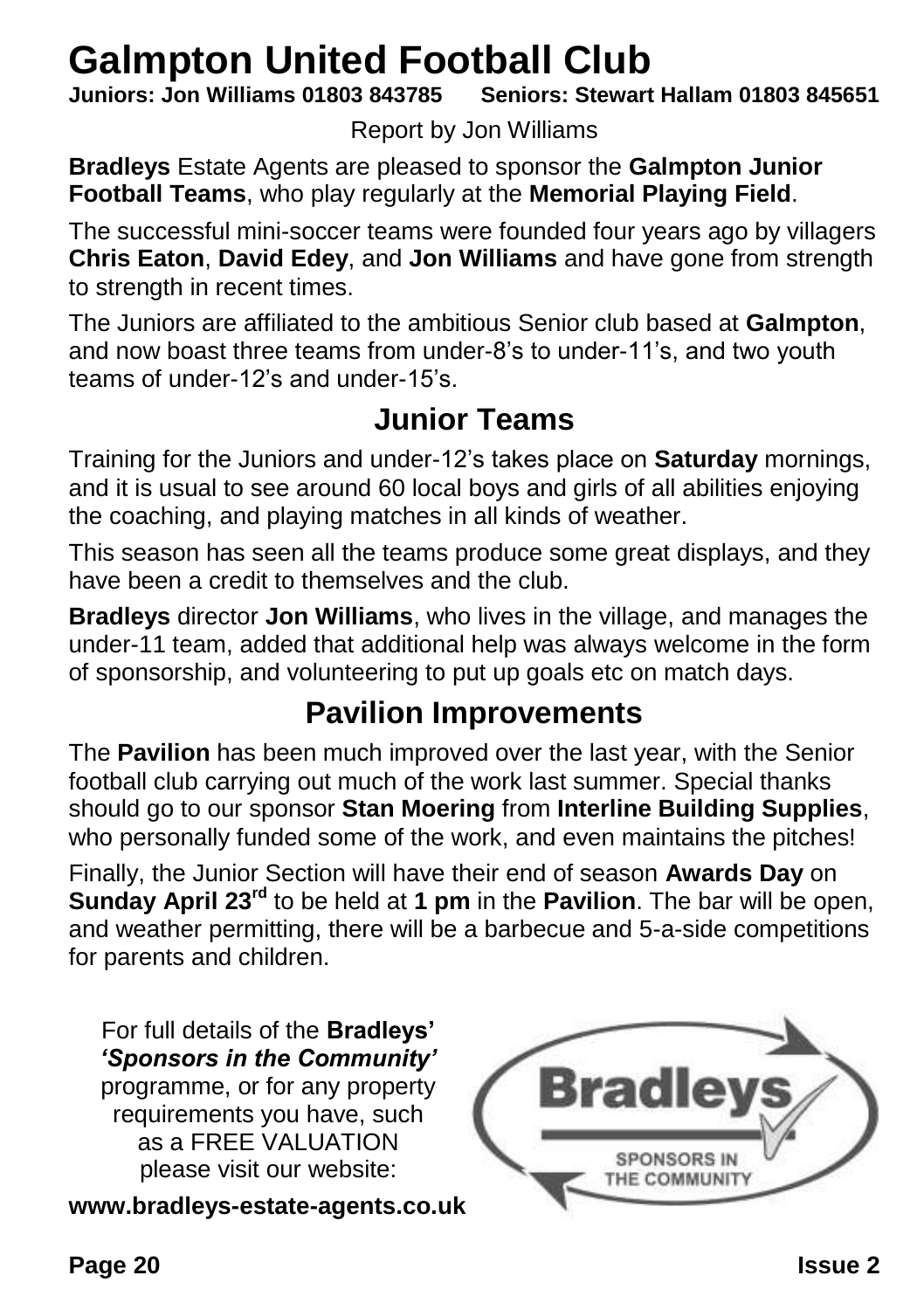## **Galmpton United Football Club**<br>**Juniors: Jon Williams 01803 843785** Seniors: Stewart

**Juniors: Jon Williams 01803 843785 Seniors: Stewart Hallam 01803 845651**

Report by Jon Williams

**Bradleys** Estate Agents are pleased to sponsor the **Galmpton Junior Football Teams**, who play regularly at the **Memorial Playing Field**.

The successful mini-soccer teams were founded four years ago by villagers **Chris Eaton**, **David Edey**, and **Jon Williams** and have gone from strength to strength in recent times.

The Juniors are affiliated to the ambitious Senior club based at **Galmpton**, and now boast three teams from under-8's to under-11's, and two youth teams of under-12's and under-15's.

### **Junior Teams**

Training for the Juniors and under-12's takes place on **Saturday** mornings, and it is usual to see around 60 local boys and girls of all abilities enjoying the coaching, and playing matches in all kinds of weather.

This season has seen all the teams produce some great displays, and they have been a credit to themselves and the club.

**Bradleys** director **Jon Williams**, who lives in the village, and manages the under-11 team, added that additional help was always welcome in the form of sponsorship, and volunteering to put up goals etc on match days.

### **Pavilion Improvements**

The **Pavilion** has been much improved over the last year, with the Senior football club carrying out much of the work last summer. Special thanks should go to our sponsor **Stan Moering** from **Interline Building Supplies**, who personally funded some of the work, and even maintains the pitches!

Finally, the Junior Section will have their end of season **Awards Day** on **Sunday April 23rd** to be held at **1 pm** in the **Pavilion**. The bar will be open, and weather permitting, there will be a barbecue and 5-a-side competitions for parents and children.

For full details of the **Bradleys'** *'Sponsors in the Community'* programme, or for any property requirements you have, such as a FREE VALUATION please visit our website:

**www.bradleys-estate-agents.co.uk**

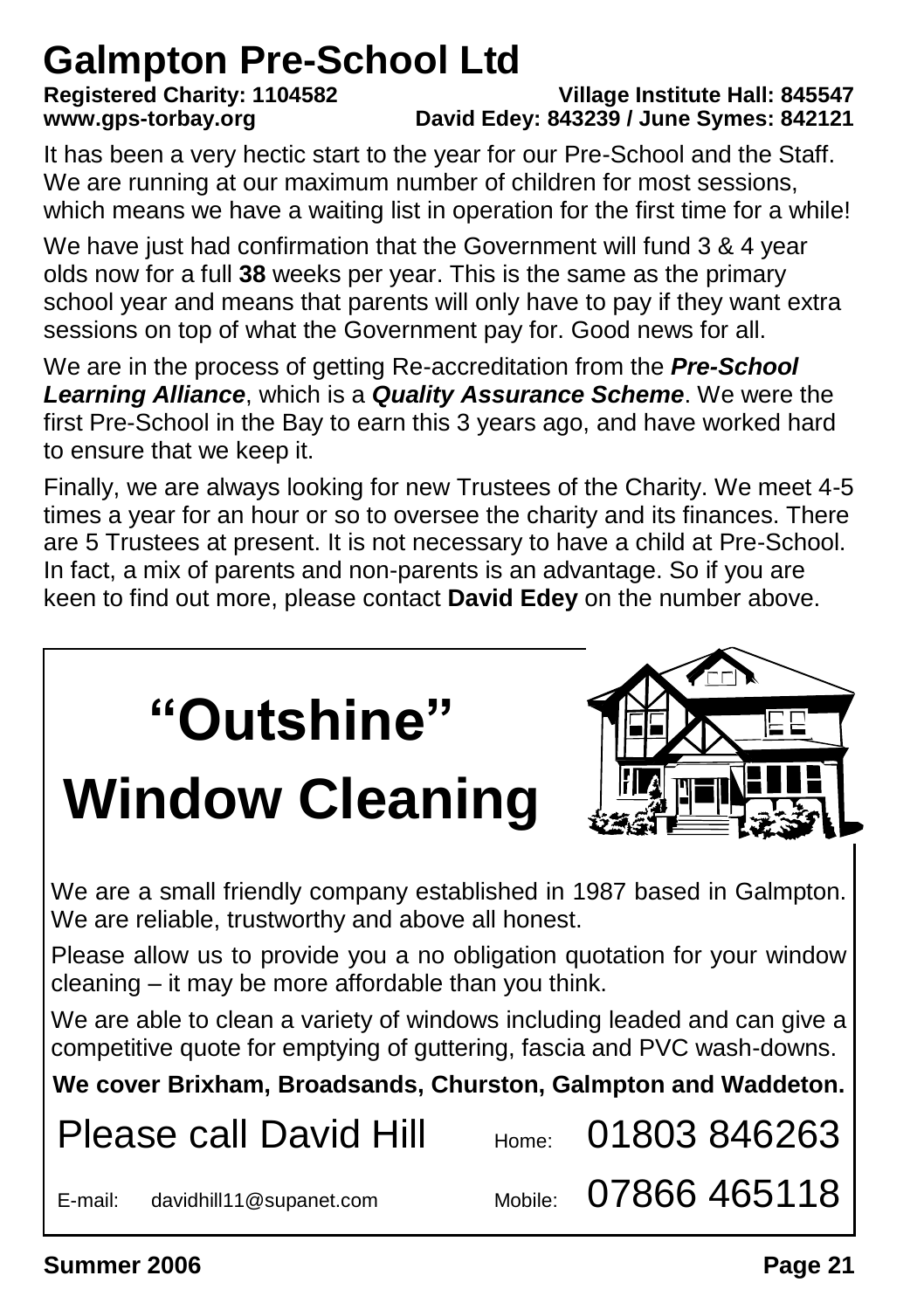### **Galmpton Pre-School Ltd**

#### **Registered Charity: 1104582 Village Institute Hall: 845547 www.gps-torbay.org David Edey: 843239 / June Symes: 842121**

It has been a very hectic start to the year for our Pre-School and the Staff. We are running at our maximum number of children for most sessions, which means we have a waiting list in operation for the first time for a while!

We have just had confirmation that the Government will fund 3 & 4 year olds now for a full **38** weeks per year. This is the same as the primary school year and means that parents will only have to pay if they want extra sessions on top of what the Government pay for. Good news for all.

We are in the process of getting Re-accreditation from the *Pre-School Learning Alliance*, which is a *Quality Assurance Scheme*. We were the first Pre-School in the Bay to earn this 3 years ago, and have worked hard to ensure that we keep it.

Finally, we are always looking for new Trustees of the Charity. We meet 4-5 times a year for an hour or so to oversee the charity and its finances. There are 5 Trustees at present. It is not necessary to have a child at Pre-School. In fact, a mix of parents and non-parents is an advantage. So if you are keen to find out more, please contact **David Edey** on the number above.

| "Outshine"<br><b>Window Cleaning</b>                                                                                                                 |       |                      |  |
|------------------------------------------------------------------------------------------------------------------------------------------------------|-------|----------------------|--|
| We are a small friendly company established in 1987 based in Galmpton.<br>We are reliable, trustworthy and above all honest.                         |       |                      |  |
| Please allow us to provide you a no obligation quotation for your window<br>cleaning - it may be more affordable than you think.                     |       |                      |  |
| We are able to clean a variety of windows including leaded and can give a<br>competitive quote for emptying of guttering, fascia and PVC wash-downs. |       |                      |  |
| We cover Brixham, Broadsands, Churston, Galmpton and Waddeton.                                                                                       |       |                      |  |
| <b>Please call David Hill</b>                                                                                                                        | Home: | 01803846263          |  |
| E-mail:<br>davidhill11@supanet.com                                                                                                                   |       | Mobile: 07866 465118 |  |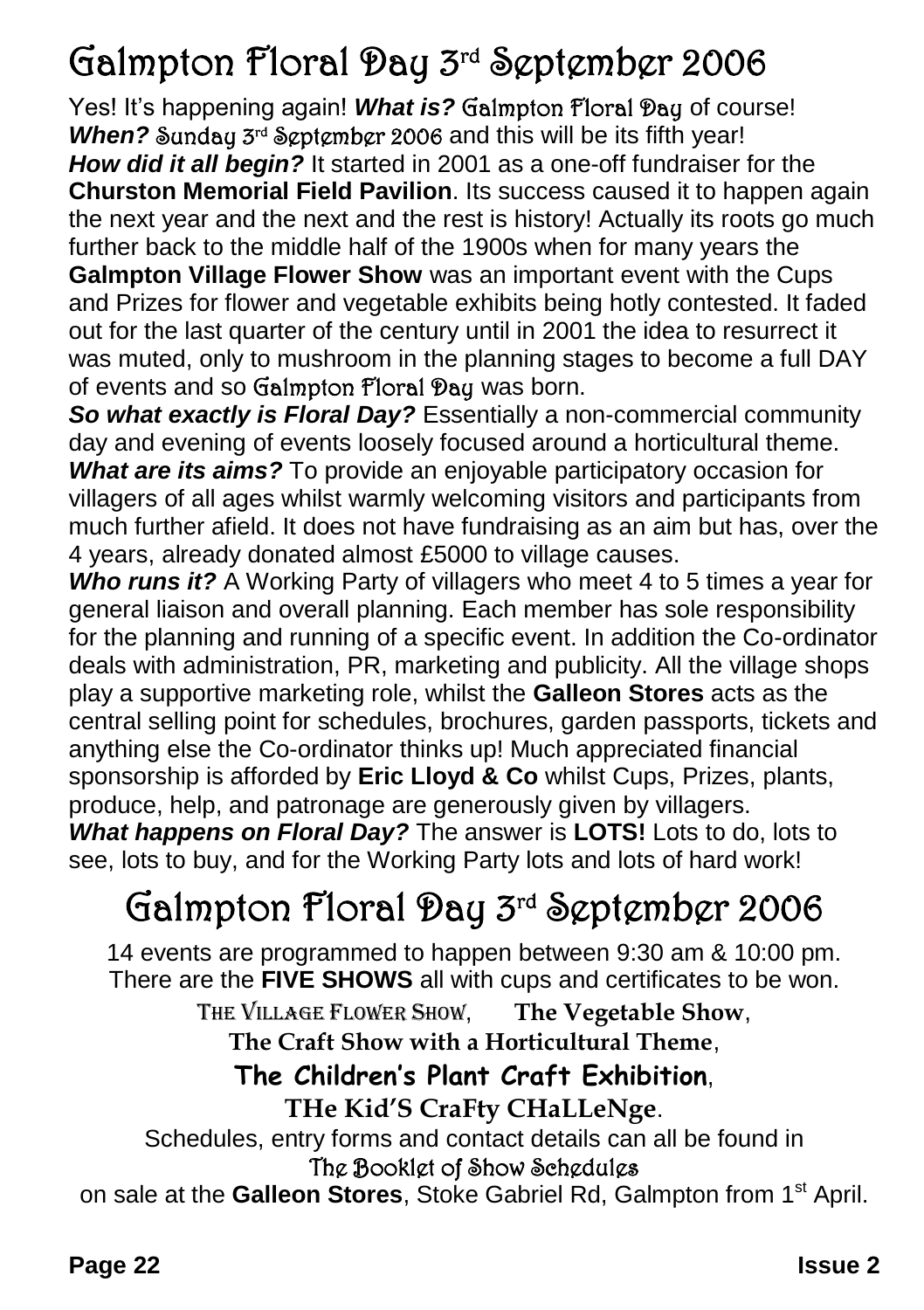### Galmpton Floral Day 3rd September 2006

Yes! It's happening again! What is? Galmpton Floral Day of course! When? Sunday 3<sup>rd</sup> September 2006 and this will be its fifth year! *How did it all begin?* It started in 2001 as a one-off fundraiser for the **Churston Memorial Field Pavilion**. Its success caused it to happen again the next year and the next and the rest is history! Actually its roots go much further back to the middle half of the 1900s when for many years the **Galmpton Village Flower Show** was an important event with the Cups and Prizes for flower and vegetable exhibits being hotly contested. It faded out for the last quarter of the century until in 2001 the idea to resurrect it was muted, only to mushroom in the planning stages to become a full DAY of events and so Galmpton Floral Day was born.

*So what exactly is Floral Day?* Essentially a non-commercial community day and evening of events loosely focused around a horticultural theme. *What are its aims?* To provide an enjoyable participatory occasion for villagers of all ages whilst warmly welcoming visitors and participants from much further afield. It does not have fundraising as an aim but has, over the 4 years, already donated almost £5000 to village causes.

*Who runs it?* A Working Party of villagers who meet 4 to 5 times a year for general liaison and overall planning. Each member has sole responsibility for the planning and running of a specific event. In addition the Co-ordinator deals with administration, PR, marketing and publicity. All the village shops play a supportive marketing role, whilst the **Galleon Stores** acts as the central selling point for schedules, brochures, garden passports, tickets and anything else the Co-ordinator thinks up! Much appreciated financial sponsorship is afforded by **Eric Lloyd & Co** whilst Cups, Prizes, plants, produce, help, and patronage are generously given by villagers.

*What happens on Floral Day?* The answer is **LOTS!** Lots to do, lots to see, lots to buy, and for the Working Party lots and lots of hard work!

### Galmpton Floral Day 3rd September 2006

14 events are programmed to happen between 9:30 am & 10:00 pm. There are the **FIVE SHOWS** all with cups and certificates to be won.

> THE VILLAGE FLOWER SHOW, **The Vegetable Show**, **The Craft Show with a Horticultural Theme**,

### **The Children's Plant Craft Exhibition**,

#### **THe Kid'S CraFty CHaLLeNge**.

Schedules, entry forms and contact details can all be found in

#### The Booklet of Show Schedules

on sale at the **Galleon Stores**, Stoke Gabriel Rd, Galmpton from 1st April.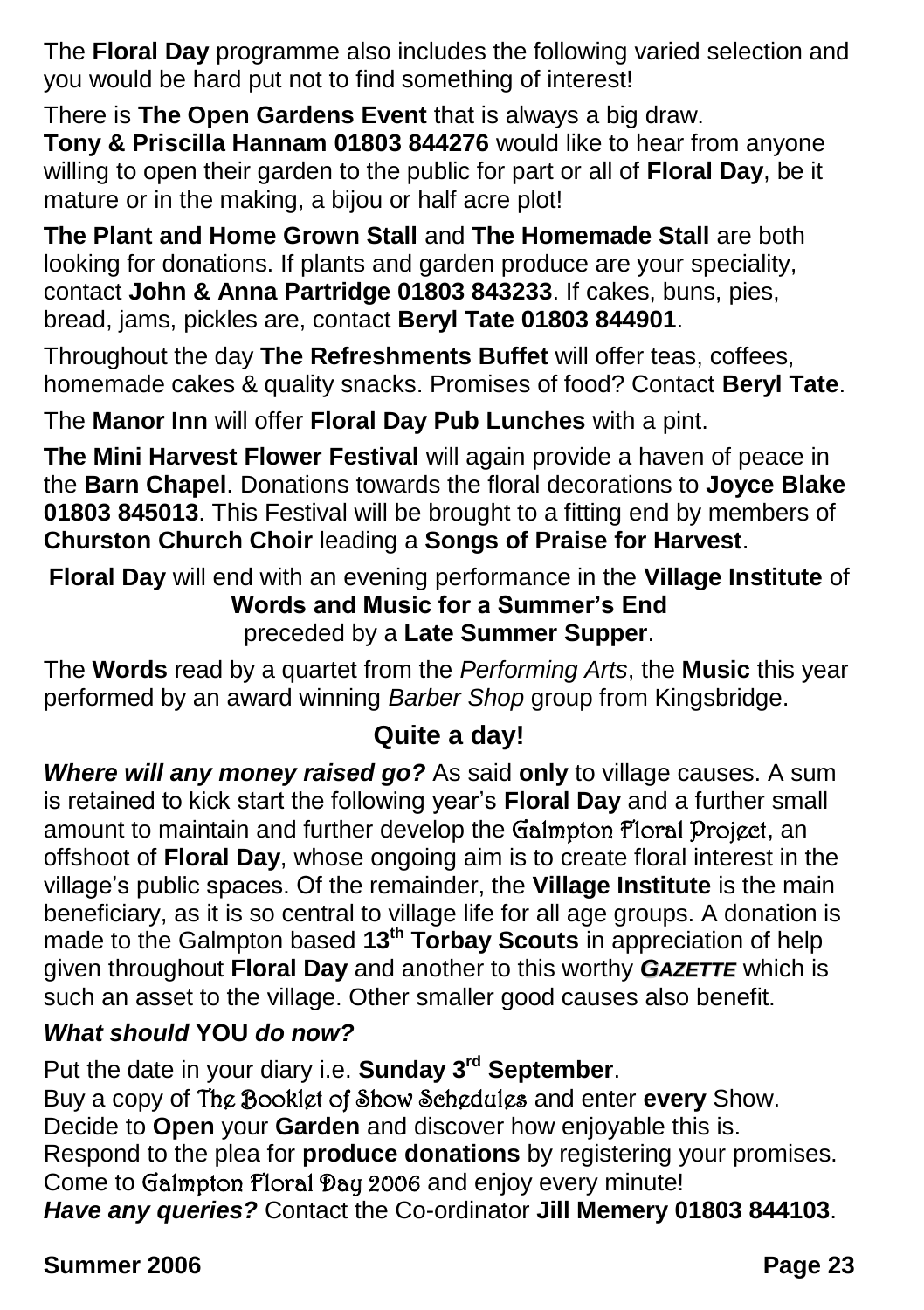The **Floral Day** programme also includes the following varied selection and you would be hard put not to find something of interest!

There is **The Open Gardens Event** that is always a big draw.

**Tony & Priscilla Hannam 01803 844276** would like to hear from anyone willing to open their garden to the public for part or all of **Floral Day**, be it mature or in the making, a bijou or half acre plot!

**The Plant and Home Grown Stall** and **The Homemade Stall** are both looking for donations. If plants and garden produce are your speciality, contact **John & Anna Partridge 01803 843233**. If cakes, buns, pies, bread, jams, pickles are, contact **Beryl Tate 01803 844901**.

Throughout the day **The Refreshments Buffet** will offer teas, coffees, homemade cakes & quality snacks. Promises of food? Contact **Beryl Tate**.

The **Manor Inn** will offer **Floral Day Pub Lunches** with a pint.

**The Mini Harvest Flower Festival** will again provide a haven of peace in the **Barn Chapel**. Donations towards the floral decorations to **Joyce Blake 01803 845013**. This Festival will be brought to a fitting end by members of **Churston Church Choir** leading a **Songs of Praise for Harvest**.

**Floral Day** will end with an evening performance in the **Village Institute** of **Words and Music for a Summer's End** preceded by a **Late Summer Supper**.

The **Words** read by a quartet from the *Performing Arts*, the **Music** this year performed by an award winning *Barber Shop* group from Kingsbridge.

#### **Quite a day!**

*Where will any money raised go?* As said **only** to village causes. A sum is retained to kick start the following year's **Floral Day** and a further small amount to maintain and further develop the Galmpton Floral Project, an offshoot of **Floral Day**, whose ongoing aim is to create floral interest in the village's public spaces. Of the remainder, the **Village Institute** is the main beneficiary, as it is so central to village life for all age groups. A donation is made to the Galmpton based **13th Torbay Scouts** in appreciation of help given throughout **Floral Day** and another to this worthy *GAZETTE* which is such an asset to the village. Other smaller good causes also benefit.

#### *What should* **YOU** *do now?*

Put the date in your diary i.e. **Sunday 3rd September**. Buy a copy of The Booklet of Show Schedules and enter **every** Show.

Decide to **Open** your **Garden** and discover how enjoyable this is.

Respond to the plea for **produce donations** by registering your promises.

Come to Galmpton Floral Day 2006 and enjoy every minute!

*Have any queries?* Contact the Co-ordinator **Jill Memery 01803 844103**.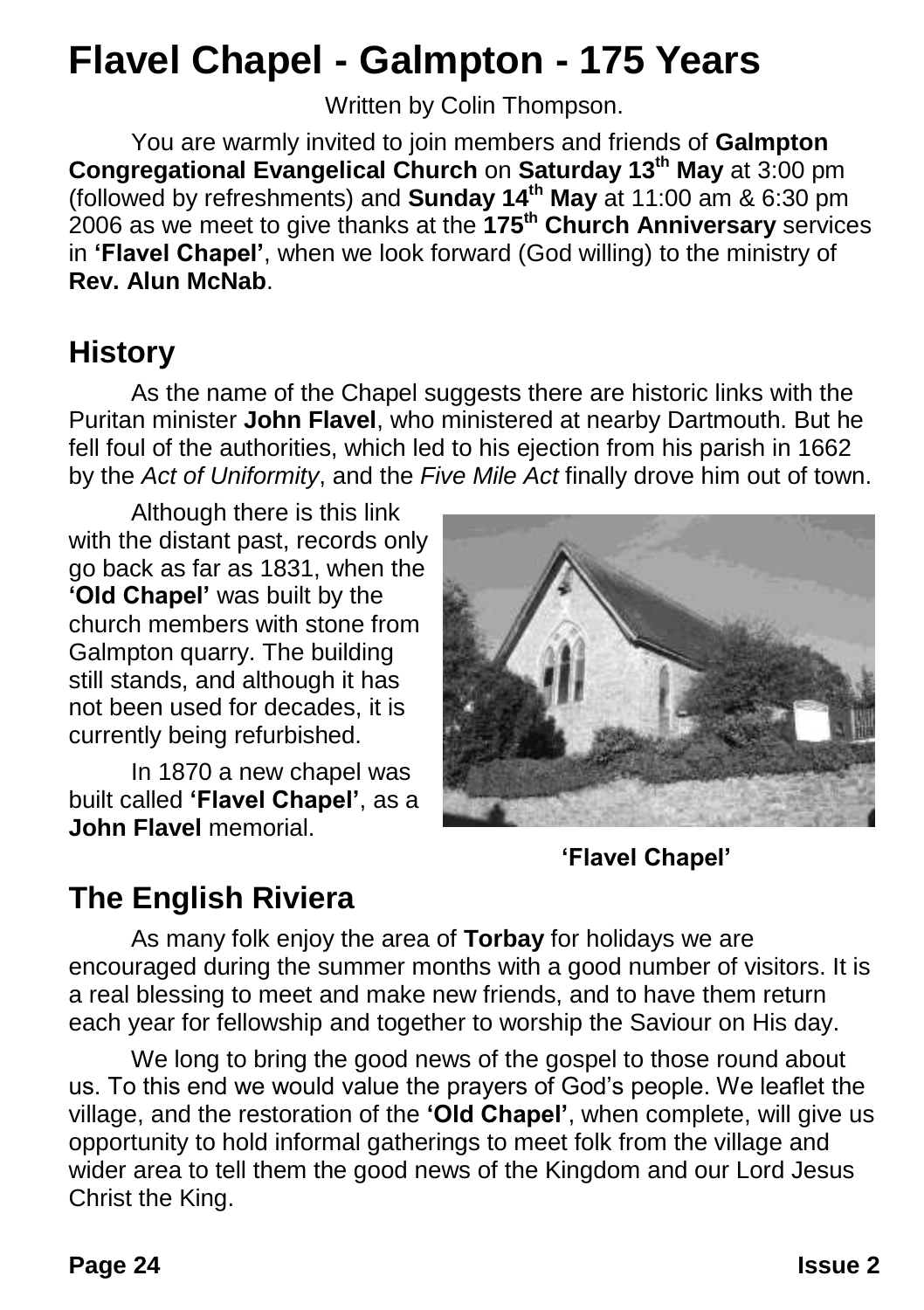### **Flavel Chapel - Galmpton - 175 Years**

Written by Colin Thompson.

You are warmly invited to join members and friends of **Galmpton Congregational Evangelical Church** on **Saturday 13th May** at 3:00 pm (followed by refreshments) and **Sunday 14th May** at 11:00 am & 6:30 pm 2006 as we meet to give thanks at the **175th Church Anniversary** services in **'Flavel Chapel'**, when we look forward (God willing) to the ministry of **Rev. Alun McNab**.

### **History**

As the name of the Chapel suggests there are historic links with the Puritan minister **John Flavel**, who ministered at nearby Dartmouth. But he fell foul of the authorities, which led to his ejection from his parish in 1662 by the *Act of Uniformity*, and the *Five Mile Act* finally drove him out of town.

Although there is this link with the distant past, records only go back as far as 1831, when the **'Old Chapel'** was built by the church members with stone from Galmpton quarry. The building still stands, and although it has not been used for decades, it is currently being refurbished.

In 1870 a new chapel was built called **'Flavel Chapel'**, as a **John Flavel** memorial.



**'Flavel Chapel'**

### **The English Riviera**

As many folk enjoy the area of **Torbay** for holidays we are encouraged during the summer months with a good number of visitors. It is a real blessing to meet and make new friends, and to have them return each year for fellowship and together to worship the Saviour on His day.

We long to bring the good news of the gospel to those round about us. To this end we would value the prayers of God's people. We leaflet the village, and the restoration of the **'Old Chapel'**, when complete, will give us opportunity to hold informal gatherings to meet folk from the village and wider area to tell them the good news of the Kingdom and our Lord Jesus Christ the King.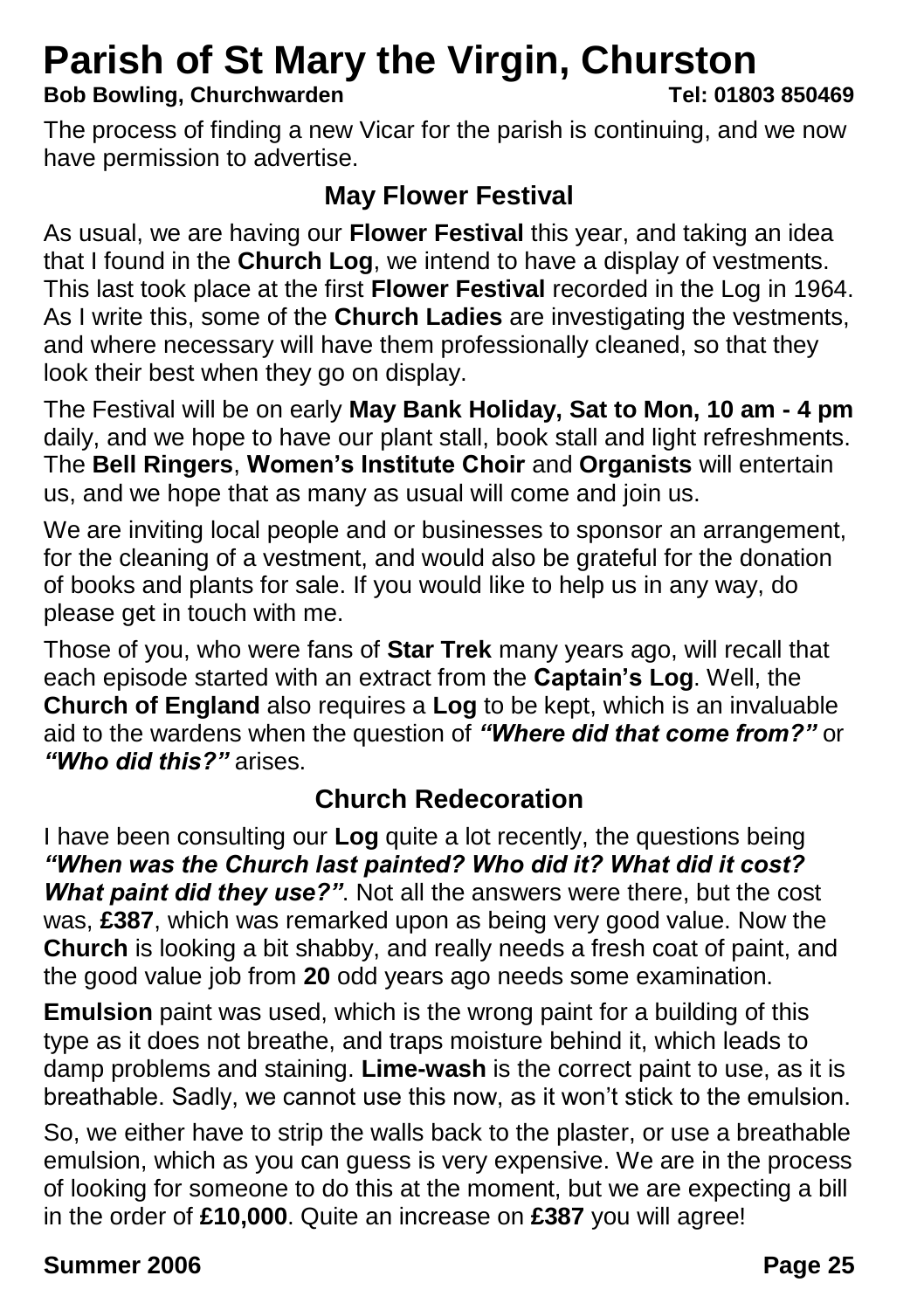## **Parish of St Mary the Virgin, Churston**<br>Bob Bowling, Churchwarden<br>Tel: 01803 850469

#### **Bob Bowling, Churchwarden**

The process of finding a new Vicar for the parish is continuing, and we now have permission to advertise.

#### **May Flower Festival**

As usual, we are having our **Flower Festival** this year, and taking an idea that I found in the **Church Log**, we intend to have a display of vestments. This last took place at the first **Flower Festival** recorded in the Log in 1964. As I write this, some of the **Church Ladies** are investigating the vestments, and where necessary will have them professionally cleaned, so that they look their best when they go on display.

The Festival will be on early **May Bank Holiday, Sat to Mon, 10 am - 4 pm** daily, and we hope to have our plant stall, book stall and light refreshments. The **Bell Ringers**, **Women's Institute Choir** and **Organists** will entertain us, and we hope that as many as usual will come and join us.

We are inviting local people and or businesses to sponsor an arrangement, for the cleaning of a vestment, and would also be grateful for the donation of books and plants for sale. If you would like to help us in any way, do please get in touch with me.

Those of you, who were fans of **Star Trek** many years ago, will recall that each episode started with an extract from the **Captain's Log**. Well, the **Church of England** also requires a **Log** to be kept, which is an invaluable aid to the wardens when the question of *"Where did that come from?"* or *"Who did this?"* arises.

### **Church Redecoration**

I have been consulting our **Log** quite a lot recently, the questions being *"When was the Church last painted? Who did it? What did it cost?*  **What paint did they use?**". Not all the answers were there, but the cost was, **£387**, which was remarked upon as being very good value. Now the **Church** is looking a bit shabby, and really needs a fresh coat of paint, and the good value job from **20** odd years ago needs some examination.

**Emulsion** paint was used, which is the wrong paint for a building of this type as it does not breathe, and traps moisture behind it, which leads to damp problems and staining. **Lime-wash** is the correct paint to use, as it is breathable. Sadly, we cannot use this now, as it won't stick to the emulsion.

So, we either have to strip the walls back to the plaster, or use a breathable emulsion, which as you can guess is very expensive. We are in the process of looking for someone to do this at the moment, but we are expecting a bill in the order of **£10,000**. Quite an increase on **£387** you will agree!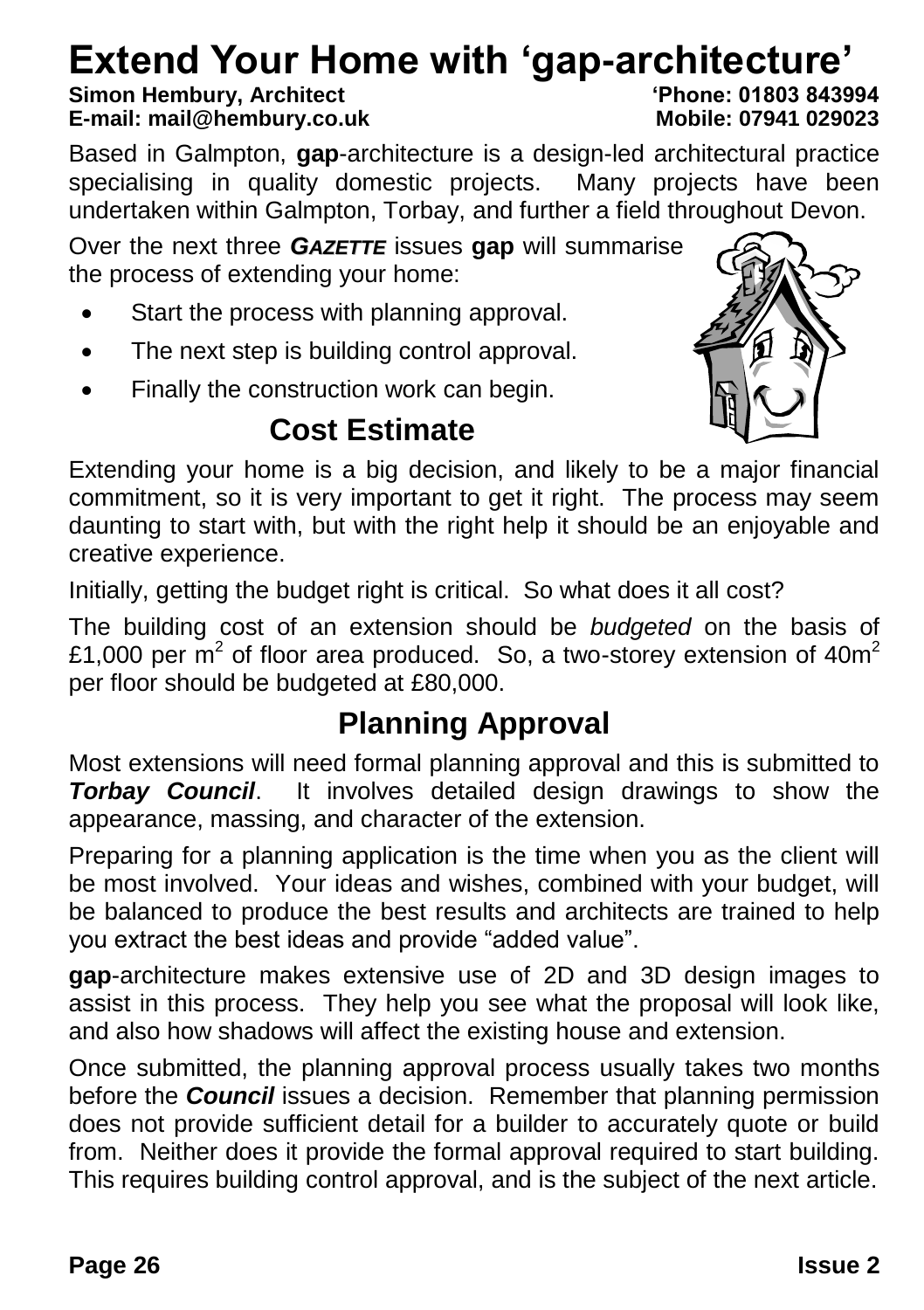# **Extend Your Home with 'gap-architecture'**

#### **Simon Hembury, Architect 'Phone: 01803 843994 E-mail: mail@hembury.co.uk**

Based in Galmpton, **gap**-architecture is a design-led architectural practice specialising in quality domestic projects. Many projects have been undertaken within Galmpton, Torbay, and further a field throughout Devon.

Over the next three *GAZETTE* issues **gap** will summarise the process of extending your home:

- Start the process with planning approval.
- The next step is building control approval.
- Finally the construction work can begin.

### **Cost Estimate**



Extending your home is a big decision, and likely to be a major financial commitment, so it is very important to get it right. The process may seem daunting to start with, but with the right help it should be an enjoyable and creative experience.

Initially, getting the budget right is critical. So what does it all cost?

The building cost of an extension should be *budgeted* on the basis of £1,000 per m<sup>2</sup> of floor area produced. So, a two-storey extension of 40m<sup>2</sup> per floor should be budgeted at £80,000.

### **Planning Approval**

Most extensions will need formal planning approval and this is submitted to *Torbay Council*. It involves detailed design drawings to show the appearance, massing, and character of the extension.

Preparing for a planning application is the time when you as the client will be most involved. Your ideas and wishes, combined with your budget, will be balanced to produce the best results and architects are trained to help you extract the best ideas and provide "added value".

**gap**-architecture makes extensive use of 2D and 3D design images to assist in this process. They help you see what the proposal will look like, and also how shadows will affect the existing house and extension.

Once submitted, the planning approval process usually takes two months before the *Council* issues a decision. Remember that planning permission does not provide sufficient detail for a builder to accurately quote or build from. Neither does it provide the formal approval required to start building. This requires building control approval, and is the subject of the next article.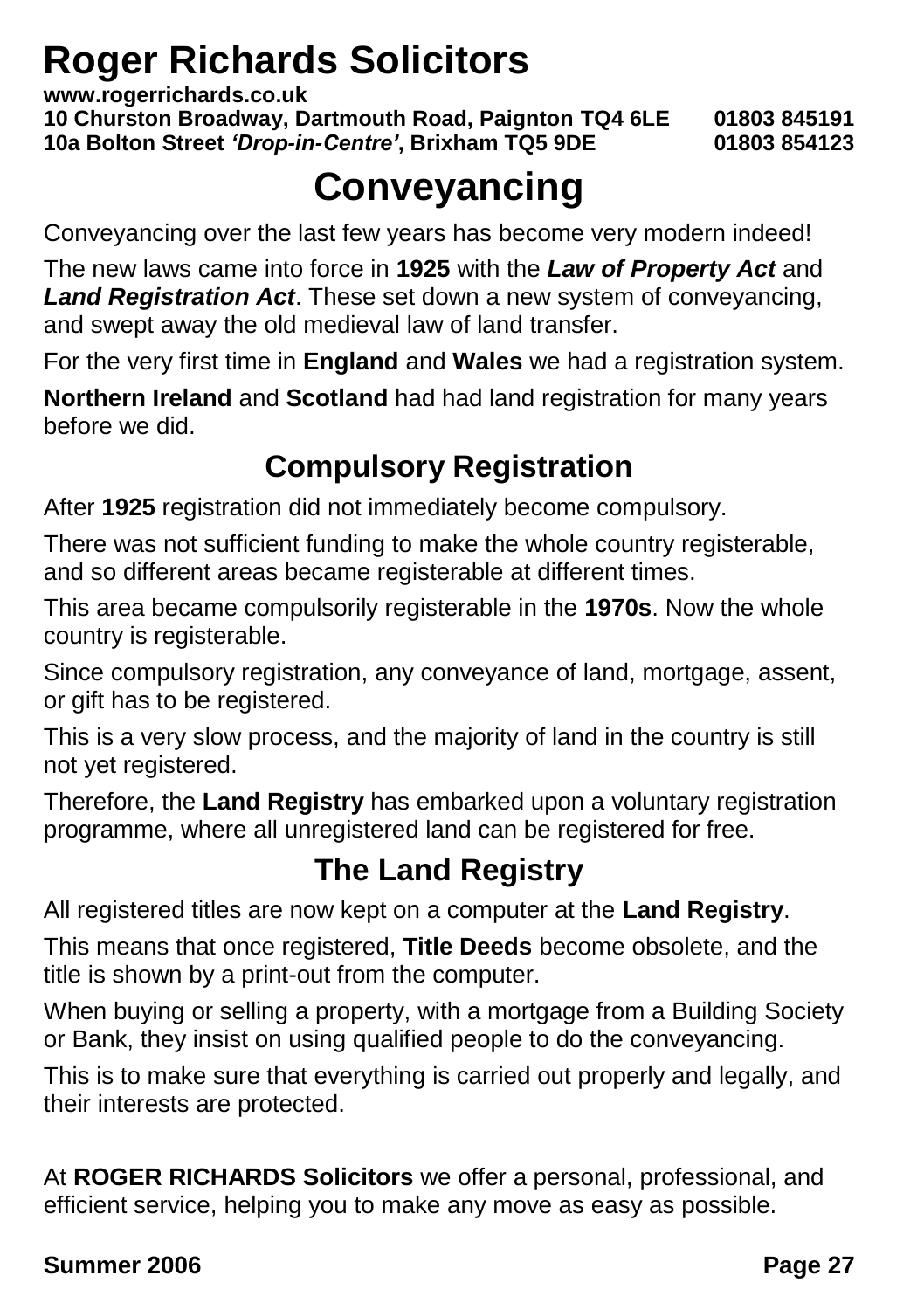### **Roger Richards Solicitors**

**www.rogerrichards.co.uk**

**10 Churston Broadway, Dartmouth Road, Paignton TQ4 6LE 01803 845191 10a Bolton Street** *'Drop-in-Centre'***, Brixham TQ5 9DE 01803 854123**

### **Conveyancing**

Conveyancing over the last few years has become very modern indeed!

The new laws came into force in **1925** with the *Law of Property Act* and *Land Registration Act*. These set down a new system of conveyancing, and swept away the old medieval law of land transfer.

For the very first time in **England** and **Wales** we had a registration system.

**Northern Ireland** and **Scotland** had had land registration for many years before we did.

### **Compulsory Registration**

After **1925** registration did not immediately become compulsory.

There was not sufficient funding to make the whole country registerable, and so different areas became registerable at different times.

This area became compulsorily registerable in the **1970s**. Now the whole country is registerable.

Since compulsory registration, any conveyance of land, mortgage, assent, or gift has to be registered.

This is a very slow process, and the majority of land in the country is still not yet registered.

Therefore, the **Land Registry** has embarked upon a voluntary registration programme, where all unregistered land can be registered for free.

### **The Land Registry**

All registered titles are now kept on a computer at the **Land Registry**.

This means that once registered, **Title Deeds** become obsolete, and the title is shown by a print-out from the computer.

When buying or selling a property, with a mortgage from a Building Society or Bank, they insist on using qualified people to do the conveyancing.

This is to make sure that everything is carried out properly and legally, and their interests are protected.

At **ROGER RICHARDS Solicitors** we offer a personal, professional, and efficient service, helping you to make any move as easy as possible.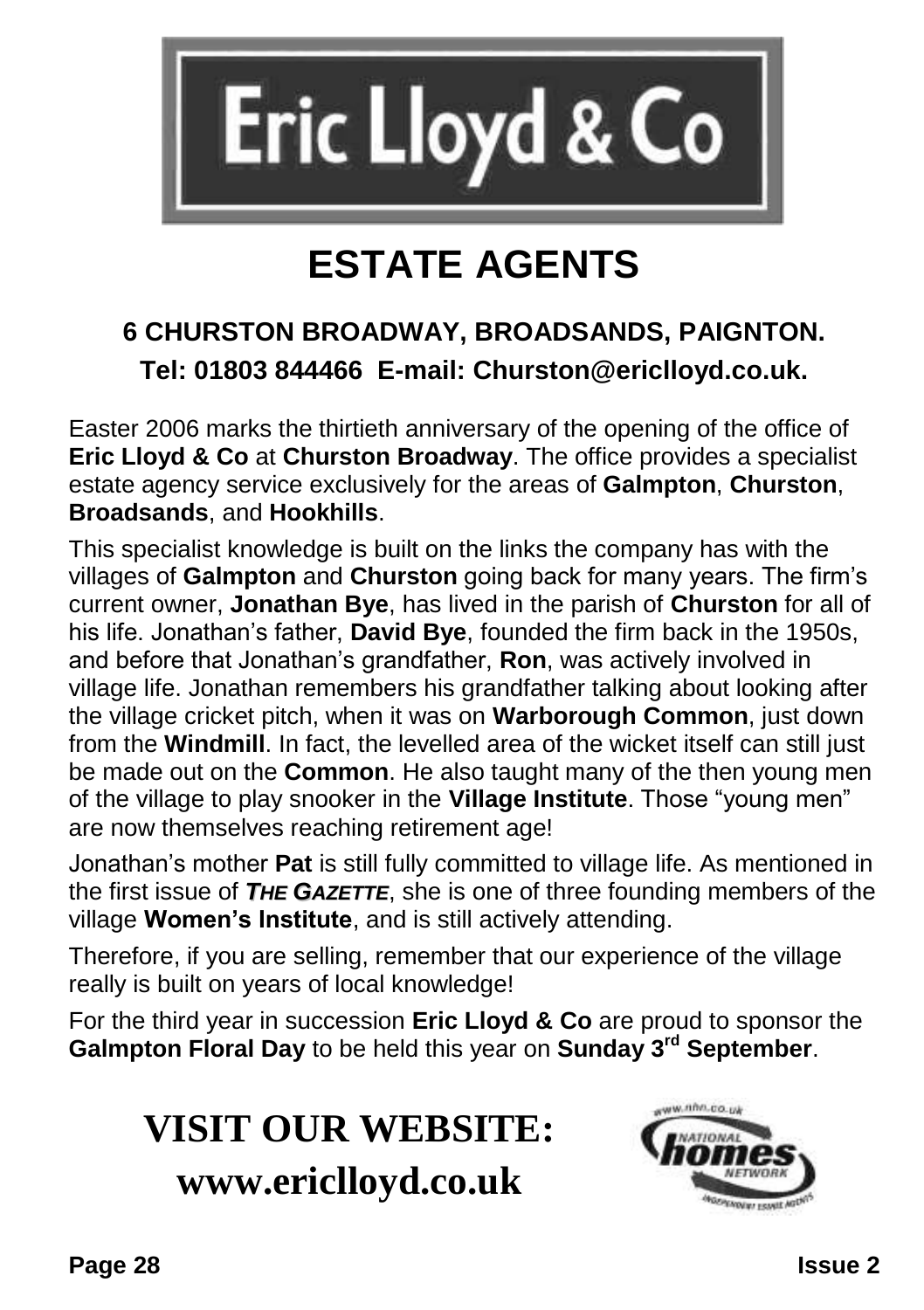

## **ESTATE AGENTS**

### **6 CHURSTON BROADWAY, BROADSANDS, PAIGNTON. Tel: 01803 844466 E-mail: Churston@ericlloyd.co.uk.**

Easter 2006 marks the thirtieth anniversary of the opening of the office of **Eric Lloyd & Co** at **Churston Broadway**. The office provides a specialist estate agency service exclusively for the areas of **Galmpton**, **Churston**, **Broadsands**, and **Hookhills**.

This specialist knowledge is built on the links the company has with the villages of **Galmpton** and **Churston** going back for many years. The firm's current owner, **Jonathan Bye**, has lived in the parish of **Churston** for all of his life. Jonathan's father, **David Bye**, founded the firm back in the 1950s, and before that Jonathan's grandfather, **Ron**, was actively involved in village life. Jonathan remembers his grandfather talking about looking after the village cricket pitch, when it was on **Warborough Common**, just down from the **Windmill**. In fact, the levelled area of the wicket itself can still just be made out on the **Common**. He also taught many of the then young men of the village to play snooker in the **Village Institute**. Those "young men" are now themselves reaching retirement age!

Jonathan's mother **Pat** is still fully committed to village life. As mentioned in the first issue of *THE GAZETTE*, she is one of three founding members of the village **Women's Institute**, and is still actively attending.

Therefore, if you are selling, remember that our experience of the village really is built on years of local knowledge!

For the third year in succession **Eric Lloyd & Co** are proud to sponsor the **Galmpton Floral Day** to be held this year on **Sunday 3rd September**.

### **VISIT OUR WEBSITE: www.ericlloyd.co.uk**

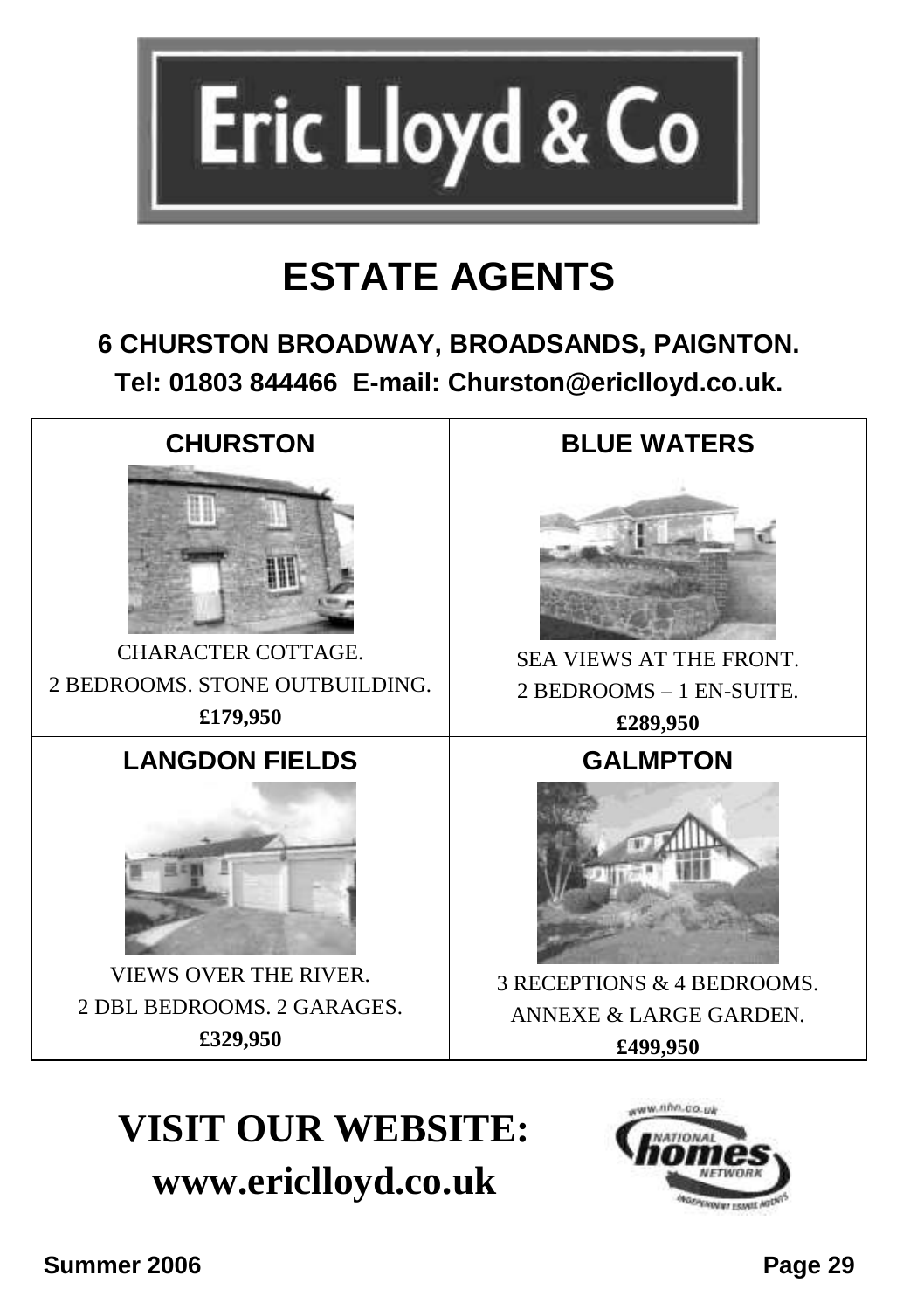

### **ESTATE AGENTS**

### **6 CHURSTON BROADWAY, BROADSANDS, PAIGNTON. Tel: 01803 844466 E-mail: Churston@ericlloyd.co.uk.**



## **VISIT OUR WEBSITE: www.ericlloyd.co.uk**

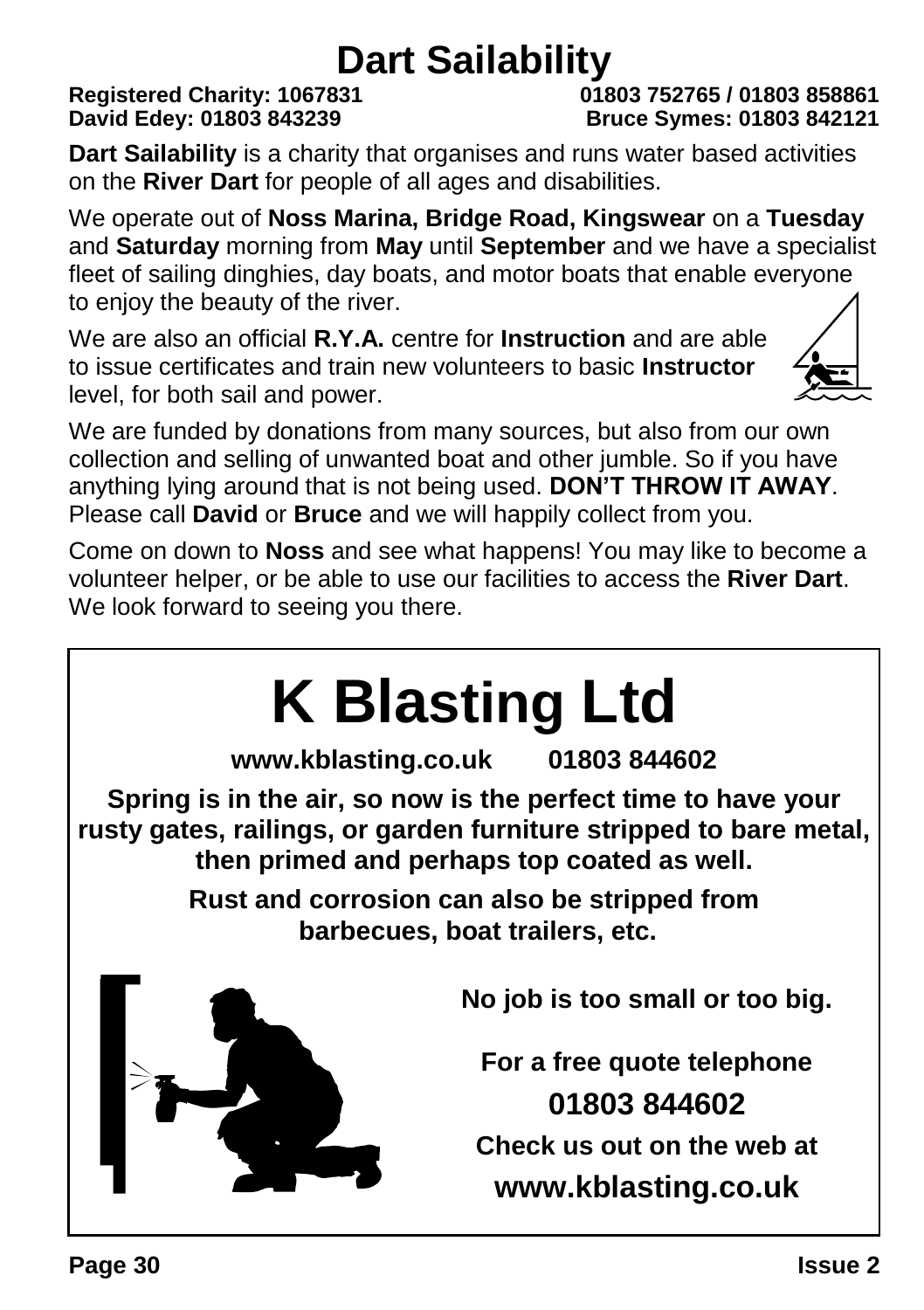# **Dart Sailability**<br><sup>018</sup> Registered Charity: 1067831

#### **Registered Charity: 1067831 01803 752765 / 01803 858861 David Edey: 01803 843239 Bruce Symes: 01803 842121**

**Dart Sailability** is a charity that organises and runs water based activities on the **River Dart** for people of all ages and disabilities.

We operate out of **Noss Marina, Bridge Road, Kingswear** on a **Tuesday** and **Saturday** morning from **May** until **September** and we have a specialist fleet of sailing dinghies, day boats, and motor boats that enable everyone to enjoy the beauty of the river.

We are also an official **R.Y.A.** centre for **Instruction** and are able to issue certificates and train new volunteers to basic **Instructor** level, for both sail and power.



We are funded by donations from many sources, but also from our own collection and selling of unwanted boat and other jumble. So if you have anything lying around that is not being used. **DON'T THROW IT AWAY**. Please call **David** or **Bruce** and we will happily collect from you.

Come on down to **Noss** and see what happens! You may like to become a volunteer helper, or be able to use our facilities to access the **River Dart**. We look forward to seeing you there.

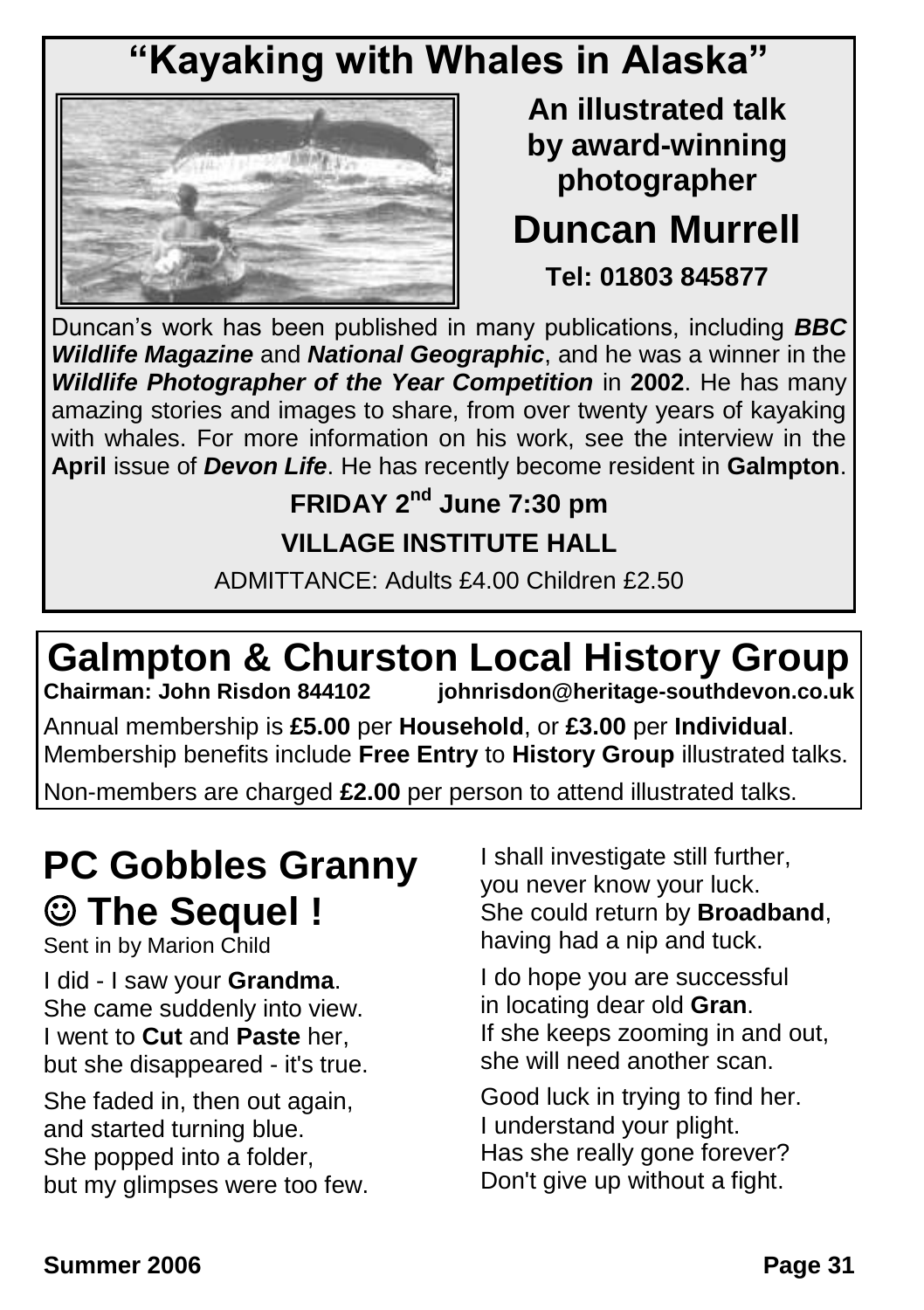### **"Kayaking with Whales in Alaska"**



**An illustrated talk by award-winning photographer**

### **Duncan Murrell Tel: 01803 845877**

Duncan's work has been published in many publications, including *BBC Wildlife Magazine* and *National Geographic*, and he was a winner in the *Wildlife Photographer of the Year Competition* in **2002**. He has many amazing stories and images to share, from over twenty years of kayaking with whales. For more information on his work, see the interview in the **April** issue of *Devon Life*. He has recently become resident in **Galmpton**.

### **FRIDAY 2nd June 7:30 pm VILLAGE INSTITUTE HALL**

ADMITTANCE: Adults £4.00 Children £2.50

# **Galmpton & Churston Local History Group**<br>Chairman: John Risdon 844102 **Chairman: John Risdon @heritage-southdevon.co.uk**

**Chairman: John Risdon 844102 johnrisdon@heritage-southdevon.co.uk**

Annual membership is **£5.00** per **Household**, or **£3.00** per **Individual**. Membership benefits include **Free Entry** to **History Group** illustrated talks.

Non-members are charged **£2.00** per person to attend illustrated talks.

### **PC Gobbles Granny The Sequel !**

Sent in by Marion Child

I did - I saw your **Grandma**. She came suddenly into view. I went to **Cut** and **Paste** her, but she disappeared - it's true.

She faded in, then out again, and started turning blue. She popped into a folder, but my glimpses were too few. I shall investigate still further, you never know your luck. She could return by **Broadband**, having had a nip and tuck.

I do hope you are successful in locating dear old **Gran**. If she keeps zooming in and out, she will need another scan.

Good luck in trying to find her. I understand your plight. Has she really gone forever? Don't give up without a fight.